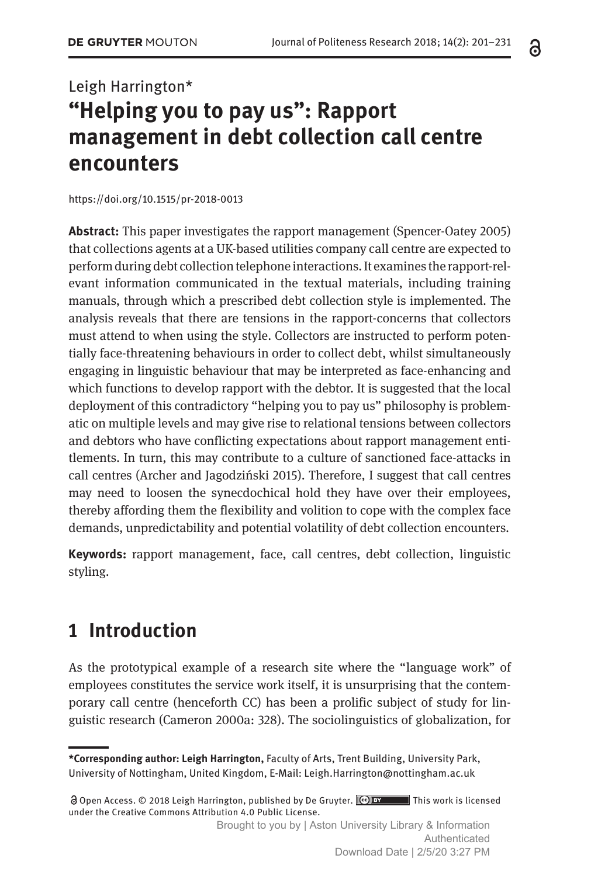# Leigh Harrington\* **"Helping you to pay us": Rapport management in debt collection call centre encounters**

https://doi.org/10.1515/pr-2018-0013

**Abstract:** This paper investigates the rapport management (Spencer-Oatey 2005) that collections agents at a UK-based utilities company call centre are expected to perform during debt collection telephone interactions. It examines the rapport-relevant information communicated in the textual materials, including training manuals, through which a prescribed debt collection style is implemented. The analysis reveals that there are tensions in the rapport-concerns that collectors must attend to when using the style. Collectors are instructed to perform potentially face-threatening behaviours in order to collect debt, whilst simultaneously engaging in linguistic behaviour that may be interpreted as face-enhancing and which functions to develop rapport with the debtor. It is suggested that the local deployment of this contradictory "helping you to pay us" philosophy is problematic on multiple levels and may give rise to relational tensions between collectors and debtors who have conflicting expectations about rapport management entitlements. In turn, this may contribute to a culture of sanctioned face-attacks in call centres (Archer and Jagodziński 2015). Therefore, I suggest that call centres may need to loosen the synecdochical hold they have over their employees, thereby affording them the flexibility and volition to cope with the complex face demands, unpredictability and potential volatility of debt collection encounters.

**Keywords:** rapport management, face, call centres, debt collection, linguistic styling.

# **1 Introduction**

As the prototypical example of a research site where the "language work" of employees constitutes the service work itself, it is unsurprising that the contemporary call centre (henceforth CC) has been a prolific subject of study for linguistic research (Cameron 2000a: 328). The sociolinguistics of globalization, for

a

**<sup>\*</sup>Corresponding author: Leigh Harrington,** Faculty of Arts, Trent Building, University Park, University of Nottingham, United Kingdom, E-Mail: Leigh.Harrington@nottingham.ac.uk

Open Access. © 2018 Leigh Harrington, published by De Gruyter. This work is licensed under the Creative Commons Attribution 4.0 Public License.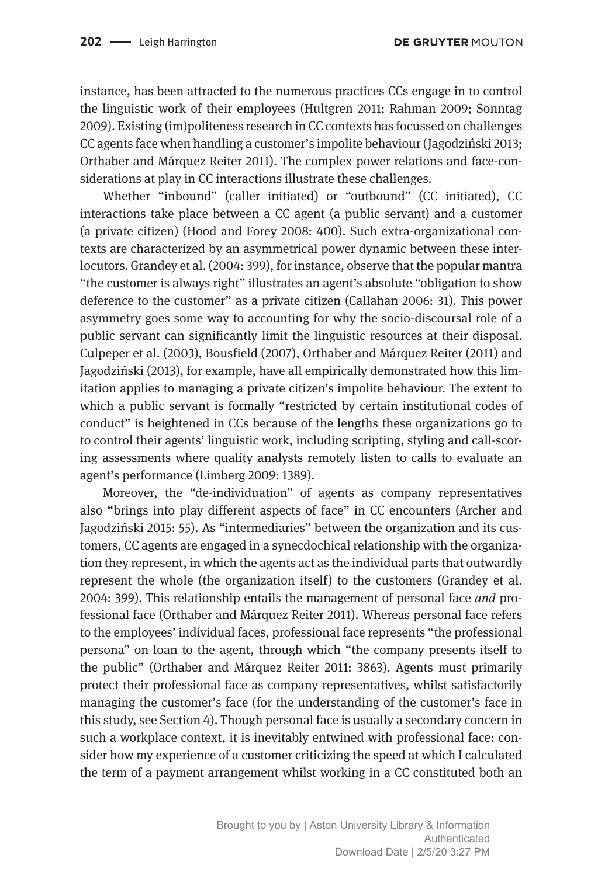instance, has been attracted to the numerous practices CCs engage in to control the linguistic work of their employees (Hultgren 2011; Rahman 2009; Sonntag 2009). Existing (im)politeness research in CC contexts has focussed on challenges CC agents face when handling a customer's impolite behaviour (Jagodziński 2013; Orthaber and Márquez Reiter 2011). The complex power relations and face-considerations at play in CC interactions illustrate these challenges.

Whether "inbound" (caller initiated) or "outbound" (CC initiated), CC interactions take place between a CC agent (a public servant) and a customer (a private citizen) (Hood and Forey 2008: 400). Such extra-organizational contexts are characterized by an asymmetrical power dynamic between these interlocutors. Grandey et al. (2004: 399), for instance, observe that the popular mantra "the customer is always right" illustrates an agent's absolute "obligation to show deference to the customer" as a private citizen (Callahan 2006: 31). This power asymmetry goes some way to accounting for why the socio-discoursal role of a public servant can significantly limit the linguistic resources at their disposal. Culpeper et al. (2003), Bousfield (2007), Orthaber and Márquez Reiter (2011) and Jagodziński (2013), for example, have all empirically demonstrated how this limitation applies to managing a private citizen's impolite behaviour. The extent to which a public servant is formally "restricted by certain institutional codes of conduct" is heightened in CCs because of the lengths these organizations go to to control their agents' linguistic work, including scripting, styling and call-scoring assessments where quality analysts remotely listen to calls to evaluate an agent's performance (Limberg 2009: 1389).

Moreover, the "de-individuation" of agents as company representatives also "brings into play different aspects of face" in CC encounters (Archer and Jagodziński 2015: 55). As "intermediaries" between the organization and its customers, CC agents are engaged in a synecdochical relationship with the organization they represent, in which the agents act as the individual parts that outwardly represent the whole (the organization itself) to the customers (Grandey et al. 2004: 399). This relationship entails the management of personal face *and* professional face (Orthaber and Márquez Reiter 2011). Whereas personal face refers to the employees' individual faces, professional face represents "the professional persona" on loan to the agent, through which "the company presents itself to the public" (Orthaber and Márquez Reiter 2011: 3863). Agents must primarily protect their professional face as company representatives, whilst satisfactorily managing the customer's face (for the understanding of the customer's face in this study, see Section 4). Though personal face is usually a secondary concern in such a workplace context, it is inevitably entwined with professional face: consider how my experience of a customer criticizing the speed at which I calculated the term of a payment arrangement whilst working in a CC constituted both an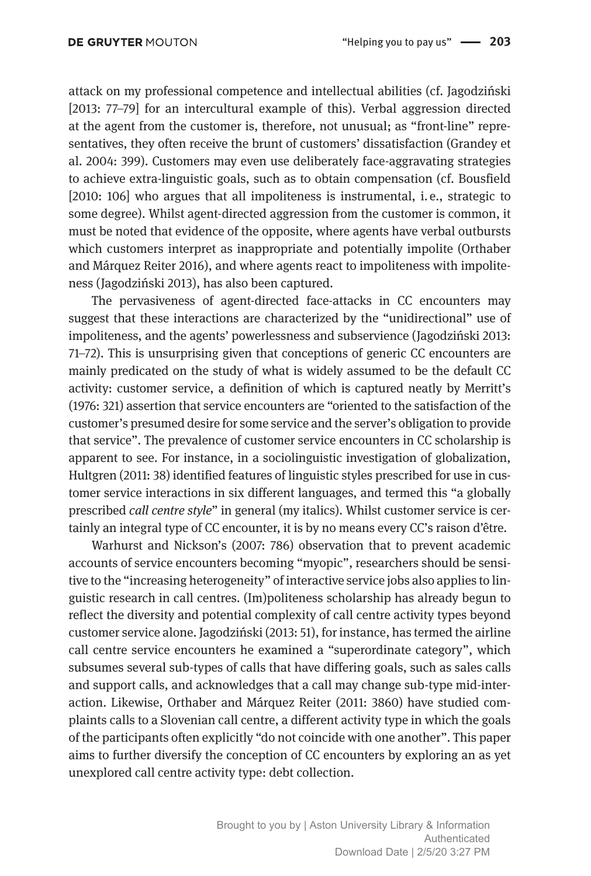attack on my professional competence and intellectual abilities (cf. Jagodziński [2013: 77–79] for an intercultural example of this). Verbal aggression directed at the agent from the customer is, therefore, not unusual; as "front-line" representatives, they often receive the brunt of customers' dissatisfaction (Grandey et al. 2004: 399). Customers may even use deliberately face-aggravating strategies to achieve extra-linguistic goals, such as to obtain compensation (cf. Bousfield [2010: 106] who argues that all impoliteness is instrumental, i.e., strategic to some degree). Whilst agent-directed aggression from the customer is common, it must be noted that evidence of the opposite, where agents have verbal outbursts which customers interpret as inappropriate and potentially impolite (Orthaber and Márquez Reiter 2016), and where agents react to impoliteness with impoliteness (Jagodziński 2013), has also been captured.

The pervasiveness of agent-directed face-attacks in CC encounters may suggest that these interactions are characterized by the "unidirectional" use of impoliteness, and the agents' powerlessness and subservience (Jagodziński 2013: 71–72). This is unsurprising given that conceptions of generic CC encounters are mainly predicated on the study of what is widely assumed to be the default CC activity: customer service, a definition of which is captured neatly by Merritt's (1976: 321) assertion that service encounters are "oriented to the satisfaction of the customer's presumed desire for some service and the server's obligation to provide that service". The prevalence of customer service encounters in CC scholarship is apparent to see. For instance, in a sociolinguistic investigation of globalization, Hultgren (2011: 38) identified features of linguistic styles prescribed for use in customer service interactions in six different languages, and termed this "a globally prescribed *call centre style*" in general (my italics). Whilst customer service is certainly an integral type of CC encounter, it is by no means every CC's raison d'être.

Warhurst and Nickson's (2007: 786) observation that to prevent academic accounts of service encounters becoming "myopic", researchers should be sensitive to the "increasing heterogeneity" of interactive service jobs also applies to linguistic research in call centres. (Im)politeness scholarship has already begun to reflect the diversity and potential complexity of call centre activity types beyond customer service alone. Jagodziński (2013: 51), for instance, has termed the airline call centre service encounters he examined a "superordinate category", which subsumes several sub-types of calls that have differing goals, such as sales calls and support calls, and acknowledges that a call may change sub-type mid-interaction. Likewise, Orthaber and Márquez Reiter (2011: 3860) have studied complaints calls to a Slovenian call centre, a different activity type in which the goals of the participants often explicitly "do not coincide with one another". This paper aims to further diversify the conception of CC encounters by exploring an as yet unexplored call centre activity type: debt collection.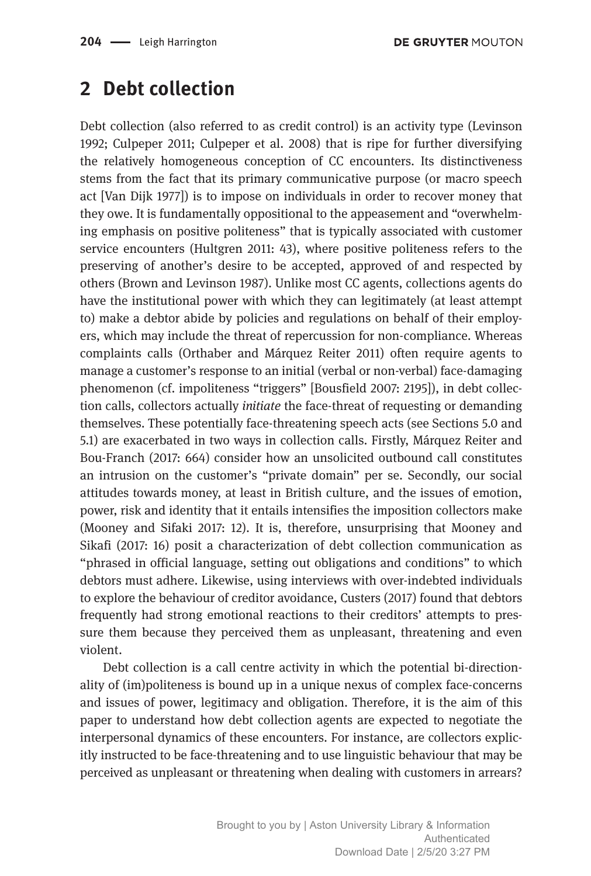## **2 Debt collection**

Debt collection (also referred to as credit control) is an activity type (Levinson 1992; Culpeper 2011; Culpeper et al. 2008) that is ripe for further diversifying the relatively homogeneous conception of CC encounters. Its distinctiveness stems from the fact that its primary communicative purpose (or macro speech act [Van Dijk 1977]) is to impose on individuals in order to recover money that they owe. It is fundamentally oppositional to the appeasement and "overwhelming emphasis on positive politeness" that is typically associated with customer service encounters (Hultgren 2011: 43), where positive politeness refers to the preserving of another's desire to be accepted, approved of and respected by others (Brown and Levinson 1987). Unlike most CC agents, collections agents do have the institutional power with which they can legitimately (at least attempt to) make a debtor abide by policies and regulations on behalf of their employers, which may include the threat of repercussion for non-compliance. Whereas complaints calls (Orthaber and Márquez Reiter 2011) often require agents to manage a customer's response to an initial (verbal or non-verbal) face-damaging phenomenon (cf. impoliteness "triggers" [Bousfield 2007: 2195]), in debt collection calls, collectors actually *initiate* the face-threat of requesting or demanding themselves. These potentially face-threatening speech acts (see Sections 5.0 and 5.1) are exacerbated in two ways in collection calls. Firstly, Márquez Reiter and Bou-Franch (2017: 664) consider how an unsolicited outbound call constitutes an intrusion on the customer's "private domain" per se. Secondly, our social attitudes towards money, at least in British culture, and the issues of emotion, power, risk and identity that it entails intensifies the imposition collectors make (Mooney and Sifaki 2017: 12). It is, therefore, unsurprising that Mooney and Sikafi (2017: 16) posit a characterization of debt collection communication as "phrased in official language, setting out obligations and conditions" to which debtors must adhere. Likewise, using interviews with over-indebted individuals to explore the behaviour of creditor avoidance, Custers (2017) found that debtors frequently had strong emotional reactions to their creditors' attempts to pressure them because they perceived them as unpleasant, threatening and even violent.

Debt collection is a call centre activity in which the potential bi-directionality of (im)politeness is bound up in a unique nexus of complex face-concerns and issues of power, legitimacy and obligation. Therefore, it is the aim of this paper to understand how debt collection agents are expected to negotiate the interpersonal dynamics of these encounters. For instance, are collectors explicitly instructed to be face-threatening and to use linguistic behaviour that may be perceived as unpleasant or threatening when dealing with customers in arrears?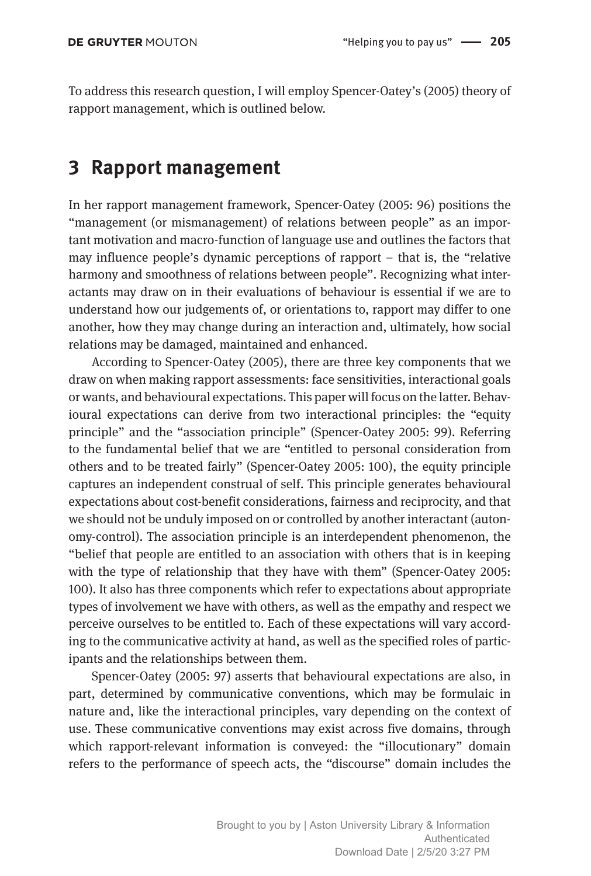To address this research question, I will employ Spencer-Oatey's (2005) theory of rapport management, which is outlined below.

## **3 Rapport management**

In her rapport management framework, Spencer-Oatey (2005: 96) positions the "management (or mismanagement) of relations between people" as an important motivation and macro-function of language use and outlines the factors that may influence people's dynamic perceptions of rapport – that is, the "relative harmony and smoothness of relations between people". Recognizing what interactants may draw on in their evaluations of behaviour is essential if we are to understand how our judgements of, or orientations to, rapport may differ to one another, how they may change during an interaction and, ultimately, how social relations may be damaged, maintained and enhanced.

According to Spencer-Oatey (2005), there are three key components that we draw on when making rapport assessments: face sensitivities, interactional goals or wants, and behavioural expectations. This paper will focus on the latter. Behavioural expectations can derive from two interactional principles: the "equity principle" and the "association principle" (Spencer-Oatey 2005: 99). Referring to the fundamental belief that we are "entitled to personal consideration from others and to be treated fairly" (Spencer-Oatey 2005: 100), the equity principle captures an independent construal of self. This principle generates behavioural expectations about cost-benefit considerations, fairness and reciprocity, and that we should not be unduly imposed on or controlled by another interactant (autonomy-control). The association principle is an interdependent phenomenon, the "belief that people are entitled to an association with others that is in keeping with the type of relationship that they have with them" (Spencer-Oatey 2005: 100). It also has three components which refer to expectations about appropriate types of involvement we have with others, as well as the empathy and respect we perceive ourselves to be entitled to. Each of these expectations will vary according to the communicative activity at hand, as well as the specified roles of participants and the relationships between them.

Spencer-Oatey (2005: 97) asserts that behavioural expectations are also, in part, determined by communicative conventions, which may be formulaic in nature and, like the interactional principles, vary depending on the context of use. These communicative conventions may exist across five domains, through which rapport-relevant information is conveyed: the "illocutionary" domain refers to the performance of speech acts, the "discourse" domain includes the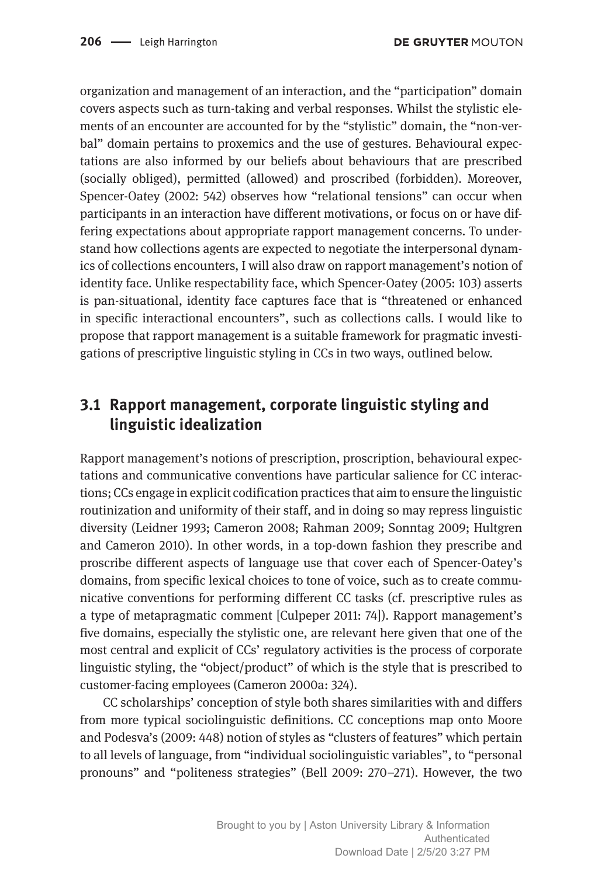organization and management of an interaction, and the "participation" domain covers aspects such as turn-taking and verbal responses. Whilst the stylistic elements of an encounter are accounted for by the "stylistic" domain, the "non-verbal" domain pertains to proxemics and the use of gestures. Behavioural expectations are also informed by our beliefs about behaviours that are prescribed (socially obliged), permitted (allowed) and proscribed (forbidden). Moreover, Spencer-Oatey (2002: 542) observes how "relational tensions" can occur when participants in an interaction have different motivations, or focus on or have differing expectations about appropriate rapport management concerns. To understand how collections agents are expected to negotiate the interpersonal dynamics of collections encounters, I will also draw on rapport management's notion of identity face. Unlike respectability face, which Spencer-Oatey (2005: 103) asserts is pan-situational, identity face captures face that is "threatened or enhanced in specific interactional encounters", such as collections calls. I would like to propose that rapport management is a suitable framework for pragmatic investigations of prescriptive linguistic styling in CCs in two ways, outlined below.

### **3.1 Rapport management, corporate linguistic styling and linguistic idealization**

Rapport management's notions of prescription, proscription, behavioural expectations and communicative conventions have particular salience for CC interactions; CCs engage in explicit codification practices that aim to ensure the linguistic routinization and uniformity of their staff, and in doing so may repress linguistic diversity (Leidner 1993; Cameron 2008; Rahman 2009; Sonntag 2009; Hultgren and Cameron 2010). In other words, in a top-down fashion they prescribe and proscribe different aspects of language use that cover each of Spencer-Oatey's domains, from specific lexical choices to tone of voice, such as to create communicative conventions for performing different CC tasks (cf. prescriptive rules as a type of metapragmatic comment [Culpeper 2011: 74]). Rapport management's five domains, especially the stylistic one, are relevant here given that one of the most central and explicit of CCs' regulatory activities is the process of corporate linguistic styling, the "object/product" of which is the style that is prescribed to customer-facing employees (Cameron 2000a: 324).

CC scholarships' conception of style both shares similarities with and differs from more typical sociolinguistic definitions. CC conceptions map onto Moore and Podesva's (2009: 448) notion of styles as "clusters of features" which pertain to all levels of language, from "individual sociolinguistic variables", to "personal pronouns" and "politeness strategies" (Bell 2009: 270–271). However, the two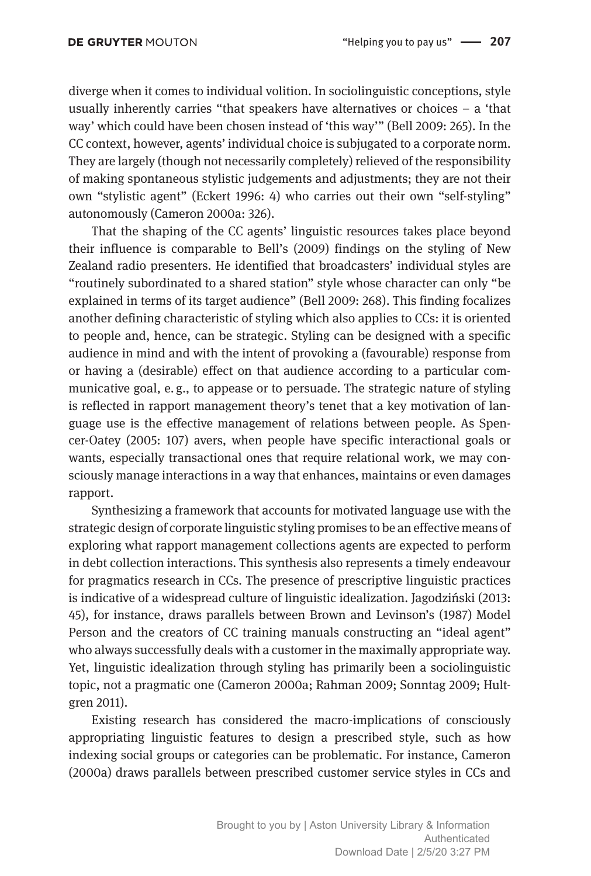diverge when it comes to individual volition. In sociolinguistic conceptions, style usually inherently carries "that speakers have alternatives or choices  $-$  a 'that way' which could have been chosen instead of 'this way'" (Bell 2009: 265). In the CC context, however, agents' individual choice is subjugated to a corporate norm. They are largely (though not necessarily completely) relieved of the responsibility of making spontaneous stylistic judgements and adjustments; they are not their own "stylistic agent" (Eckert 1996: 4) who carries out their own "self-styling" autonomously (Cameron 2000a: 326).

That the shaping of the CC agents' linguistic resources takes place beyond their influence is comparable to Bell's (2009) findings on the styling of New Zealand radio presenters. He identified that broadcasters' individual styles are "routinely subordinated to a shared station" style whose character can only "be explained in terms of its target audience" (Bell 2009: 268). This finding focalizes another defining characteristic of styling which also applies to CCs: it is oriented to people and, hence, can be strategic. Styling can be designed with a specific audience in mind and with the intent of provoking a (favourable) response from or having a (desirable) effect on that audience according to a particular communicative goal, e. g., to appease or to persuade. The strategic nature of styling is reflected in rapport management theory's tenet that a key motivation of language use is the effective management of relations between people. As Spencer-Oatey (2005: 107) avers, when people have specific interactional goals or wants, especially transactional ones that require relational work, we may consciously manage interactions in a way that enhances, maintains or even damages rapport.

Synthesizing a framework that accounts for motivated language use with the strategic design of corporate linguistic styling promises to be an effective means of exploring what rapport management collections agents are expected to perform in debt collection interactions. This synthesis also represents a timely endeavour for pragmatics research in CCs. The presence of prescriptive linguistic practices is indicative of a widespread culture of linguistic idealization. Jagodziński (2013: 45), for instance, draws parallels between Brown and Levinson's (1987) Model Person and the creators of CC training manuals constructing an "ideal agent" who always successfully deals with a customer in the maximally appropriate way. Yet, linguistic idealization through styling has primarily been a sociolinguistic topic, not a pragmatic one (Cameron 2000a; Rahman 2009; Sonntag 2009; Hultgren 2011).

Existing research has considered the macro-implications of consciously appropriating linguistic features to design a prescribed style, such as how indexing social groups or categories can be problematic. For instance, Cameron (2000a) draws parallels between prescribed customer service styles in CCs and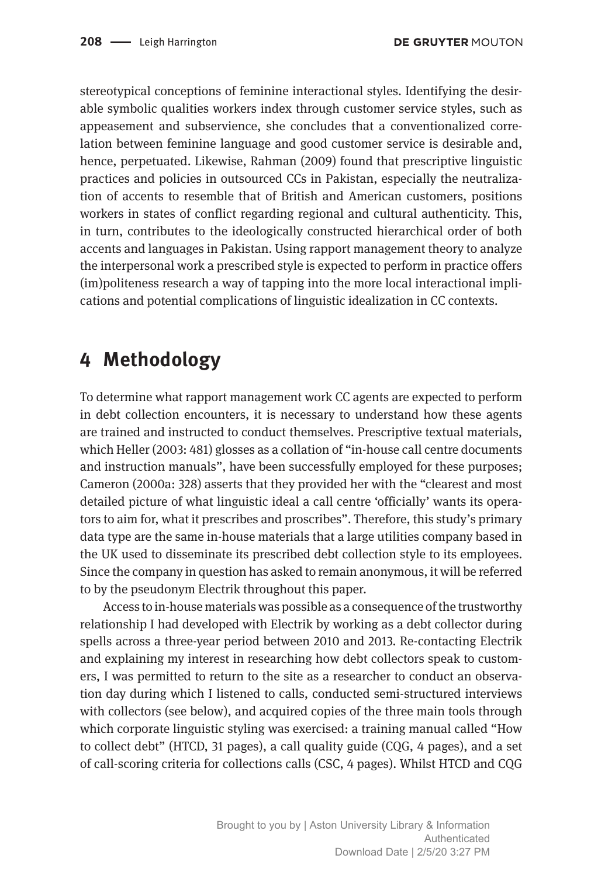stereotypical conceptions of feminine interactional styles. Identifying the desirable symbolic qualities workers index through customer service styles, such as appeasement and subservience, she concludes that a conventionalized correlation between feminine language and good customer service is desirable and, hence, perpetuated. Likewise, Rahman (2009) found that prescriptive linguistic practices and policies in outsourced CCs in Pakistan, especially the neutralization of accents to resemble that of British and American customers, positions workers in states of conflict regarding regional and cultural authenticity. This, in turn, contributes to the ideologically constructed hierarchical order of both accents and languages in Pakistan. Using rapport management theory to analyze the interpersonal work a prescribed style is expected to perform in practice offers (im)politeness research a way of tapping into the more local interactional implications and potential complications of linguistic idealization in CC contexts.

# **4 Methodology**

To determine what rapport management work CC agents are expected to perform in debt collection encounters, it is necessary to understand how these agents are trained and instructed to conduct themselves. Prescriptive textual materials, which Heller (2003: 481) glosses as a collation of "in-house call centre documents and instruction manuals", have been successfully employed for these purposes; Cameron (2000a: 328) asserts that they provided her with the "clearest and most detailed picture of what linguistic ideal a call centre 'officially' wants its operators to aim for, what it prescribes and proscribes". Therefore, this study's primary data type are the same in-house materials that a large utilities company based in the UK used to disseminate its prescribed debt collection style to its employees. Since the company in question has asked to remain anonymous, it will be referred to by the pseudonym Electrik throughout this paper.

Access to in-house materials was possible as a consequence of the trustworthy relationship I had developed with Electrik by working as a debt collector during spells across a three-year period between 2010 and 2013. Re-contacting Electrik and explaining my interest in researching how debt collectors speak to customers, I was permitted to return to the site as a researcher to conduct an observation day during which I listened to calls, conducted semi-structured interviews with collectors (see below), and acquired copies of the three main tools through which corporate linguistic styling was exercised: a training manual called "How to collect debt" (HTCD, 31 pages), a call quality guide (CQG, 4 pages), and a set of call-scoring criteria for collections calls (CSC, 4 pages). Whilst HTCD and CQG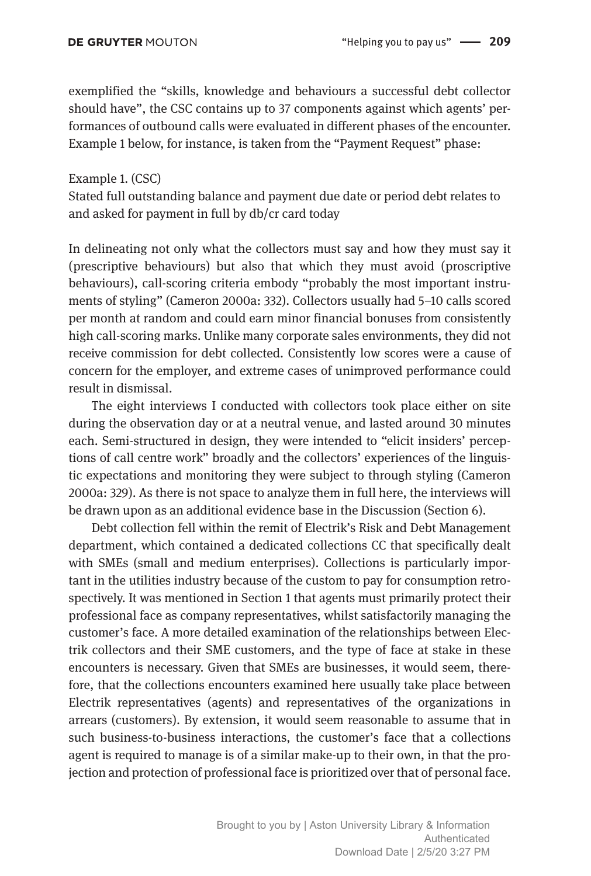exemplified the "skills, knowledge and behaviours a successful debt collector should have", the CSC contains up to 37 components against which agents' performances of outbound calls were evaluated in different phases of the encounter. Example 1 below, for instance, is taken from the "Payment Request" phase:

#### Example 1. (CSC)

Stated full outstanding balance and payment due date or period debt relates to and asked for payment in full by db/cr card today

In delineating not only what the collectors must say and how they must say it (prescriptive behaviours) but also that which they must avoid (proscriptive behaviours), call-scoring criteria embody "probably the most important instruments of styling" (Cameron 2000a: 332). Collectors usually had 5–10 calls scored per month at random and could earn minor financial bonuses from consistently high call-scoring marks. Unlike many corporate sales environments, they did not receive commission for debt collected. Consistently low scores were a cause of concern for the employer, and extreme cases of unimproved performance could result in dismissal.

The eight interviews I conducted with collectors took place either on site during the observation day or at a neutral venue, and lasted around 30 minutes each. Semi-structured in design, they were intended to "elicit insiders' perceptions of call centre work" broadly and the collectors' experiences of the linguistic expectations and monitoring they were subject to through styling (Cameron 2000a: 329). As there is not space to analyze them in full here, the interviews will be drawn upon as an additional evidence base in the Discussion (Section 6).

Debt collection fell within the remit of Electrik's Risk and Debt Management department, which contained a dedicated collections CC that specifically dealt with SMEs (small and medium enterprises). Collections is particularly important in the utilities industry because of the custom to pay for consumption retrospectively. It was mentioned in Section 1 that agents must primarily protect their professional face as company representatives, whilst satisfactorily managing the customer's face. A more detailed examination of the relationships between Electrik collectors and their SME customers, and the type of face at stake in these encounters is necessary. Given that SMEs are businesses, it would seem, therefore, that the collections encounters examined here usually take place between Electrik representatives (agents) and representatives of the organizations in arrears (customers). By extension, it would seem reasonable to assume that in such business-to-business interactions, the customer's face that a collections agent is required to manage is of a similar make-up to their own, in that the projection and protection of professional face is prioritized over that of personal face.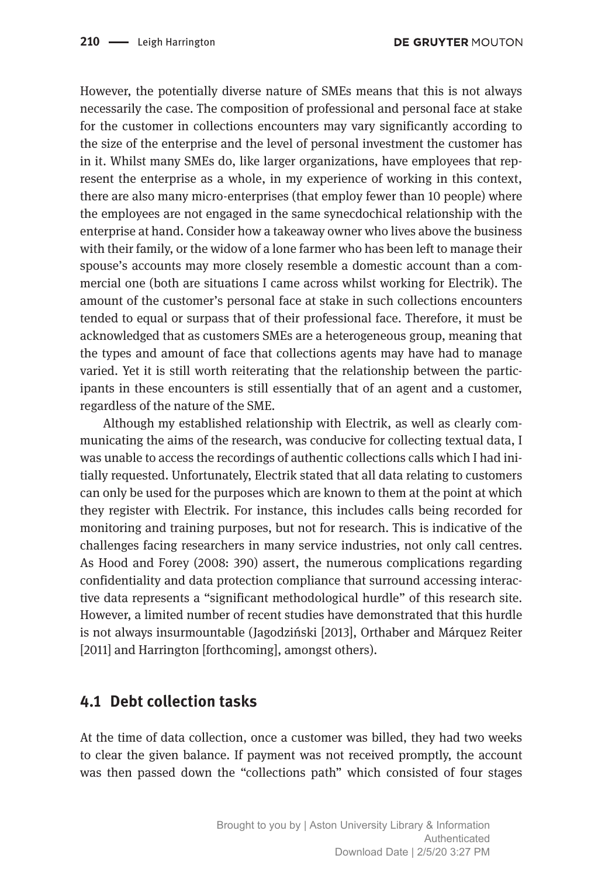However, the potentially diverse nature of SMEs means that this is not always necessarily the case. The composition of professional and personal face at stake for the customer in collections encounters may vary significantly according to the size of the enterprise and the level of personal investment the customer has in it. Whilst many SMEs do, like larger organizations, have employees that represent the enterprise as a whole, in my experience of working in this context, there are also many micro-enterprises (that employ fewer than 10 people) where the employees are not engaged in the same synecdochical relationship with the enterprise at hand. Consider how a takeaway owner who lives above the business with their family, or the widow of a lone farmer who has been left to manage their spouse's accounts may more closely resemble a domestic account than a commercial one (both are situations I came across whilst working for Electrik). The amount of the customer's personal face at stake in such collections encounters tended to equal or surpass that of their professional face. Therefore, it must be acknowledged that as customers SMEs are a heterogeneous group, meaning that the types and amount of face that collections agents may have had to manage varied. Yet it is still worth reiterating that the relationship between the participants in these encounters is still essentially that of an agent and a customer, regardless of the nature of the SME.

Although my established relationship with Electrik, as well as clearly communicating the aims of the research, was conducive for collecting textual data, I was unable to access the recordings of authentic collections calls which I had initially requested. Unfortunately, Electrik stated that all data relating to customers can only be used for the purposes which are known to them at the point at which they register with Electrik. For instance, this includes calls being recorded for monitoring and training purposes, but not for research. This is indicative of the challenges facing researchers in many service industries, not only call centres. As Hood and Forey (2008: 390) assert, the numerous complications regarding confidentiality and data protection compliance that surround accessing interactive data represents a "significant methodological hurdle" of this research site. However, a limited number of recent studies have demonstrated that this hurdle is not always insurmountable (Jagodziński [2013], Orthaber and Márquez Reiter [2011] and Harrington [forthcoming], amongst others).

### **4.1 Debt collection tasks**

At the time of data collection, once a customer was billed, they had two weeks to clear the given balance. If payment was not received promptly, the account was then passed down the "collections path" which consisted of four stages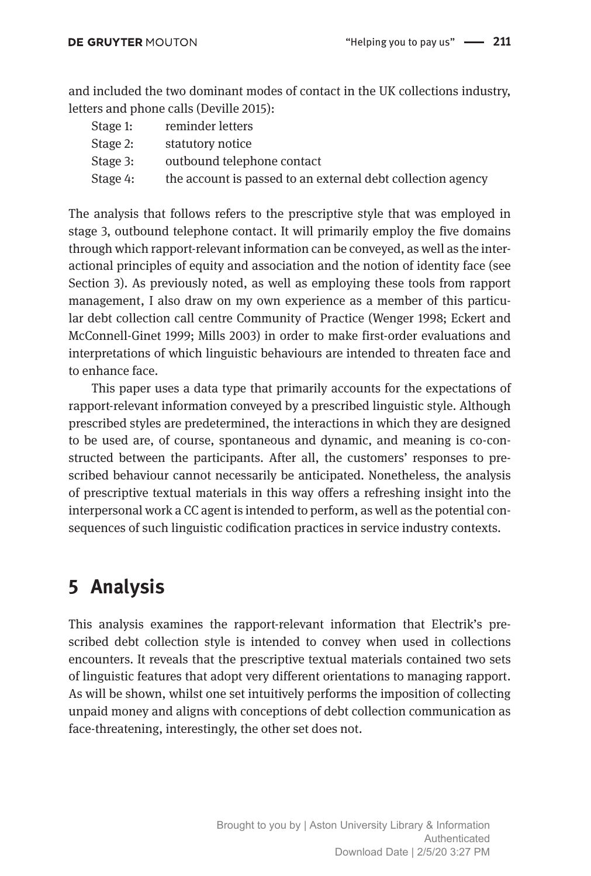and included the two dominant modes of contact in the UK collections industry, letters and phone calls (Deville 2015):

- Stage 1: reminder letters
- Stage 2: statutory notice
- Stage 3: outbound telephone contact
- Stage 4: the account is passed to an external debt collection agency

The analysis that follows refers to the prescriptive style that was employed in stage 3, outbound telephone contact. It will primarily employ the five domains through which rapport-relevant information can be conveyed, as well as the interactional principles of equity and association and the notion of identity face (see Section 3). As previously noted, as well as employing these tools from rapport management, I also draw on my own experience as a member of this particular debt collection call centre Community of Practice (Wenger 1998; Eckert and McConnell-Ginet 1999; Mills 2003) in order to make first-order evaluations and interpretations of which linguistic behaviours are intended to threaten face and to enhance face.

This paper uses a data type that primarily accounts for the expectations of rapport-relevant information conveyed by a prescribed linguistic style. Although prescribed styles are predetermined, the interactions in which they are designed to be used are, of course, spontaneous and dynamic, and meaning is co-constructed between the participants. After all, the customers' responses to prescribed behaviour cannot necessarily be anticipated. Nonetheless, the analysis of prescriptive textual materials in this way offers a refreshing insight into the interpersonal work a CC agent is intended to perform, as well as the potential consequences of such linguistic codification practices in service industry contexts.

# **5 Analysis**

This analysis examines the rapport-relevant information that Electrik's prescribed debt collection style is intended to convey when used in collections encounters. It reveals that the prescriptive textual materials contained two sets of linguistic features that adopt very different orientations to managing rapport. As will be shown, whilst one set intuitively performs the imposition of collecting unpaid money and aligns with conceptions of debt collection communication as face-threatening, interestingly, the other set does not.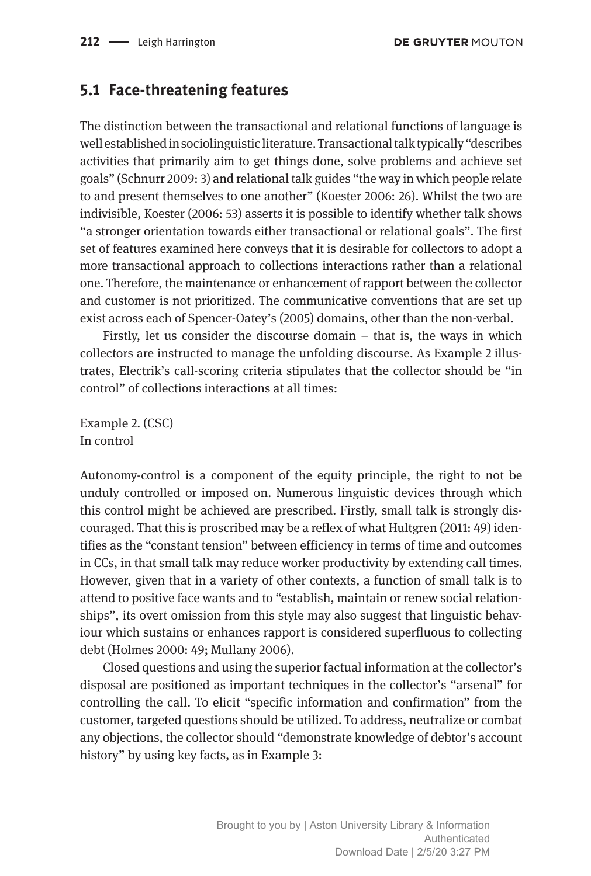### **5.1 Face-threatening features**

The distinction between the transactional and relational functions of language is well established in sociolinguistic literature. Transactional talk typically "describes activities that primarily aim to get things done, solve problems and achieve set goals" (Schnurr 2009: 3) and relational talk guides "the way in which people relate to and present themselves to one another" (Koester 2006: 26). Whilst the two are indivisible, Koester (2006: 53) asserts it is possible to identify whether talk shows "a stronger orientation towards either transactional or relational goals". The first set of features examined here conveys that it is desirable for collectors to adopt a more transactional approach to collections interactions rather than a relational one. Therefore, the maintenance or enhancement of rapport between the collector and customer is not prioritized. The communicative conventions that are set up exist across each of Spencer-Oatey's (2005) domains, other than the non-verbal.

Firstly, let us consider the discourse domain – that is, the ways in which collectors are instructed to manage the unfolding discourse. As Example 2 illustrates, Electrik's call-scoring criteria stipulates that the collector should be "in control" of collections interactions at all times:

Example 2. (CSC) In control

Autonomy-control is a component of the equity principle, the right to not be unduly controlled or imposed on. Numerous linguistic devices through which this control might be achieved are prescribed. Firstly, small talk is strongly discouraged. That this is proscribed may be a reflex of what Hultgren (2011: 49) identifies as the "constant tension" between efficiency in terms of time and outcomes in CCs, in that small talk may reduce worker productivity by extending call times. However, given that in a variety of other contexts, a function of small talk is to attend to positive face wants and to "establish, maintain or renew social relationships", its overt omission from this style may also suggest that linguistic behaviour which sustains or enhances rapport is considered superfluous to collecting debt (Holmes 2000: 49; Mullany 2006).

Closed questions and using the superior factual information at the collector's disposal are positioned as important techniques in the collector's "arsenal" for controlling the call. To elicit "specific information and confirmation" from the customer, targeted questions should be utilized. To address, neutralize or combat any objections, the collector should "demonstrate knowledge of debtor's account history" by using key facts, as in Example 3: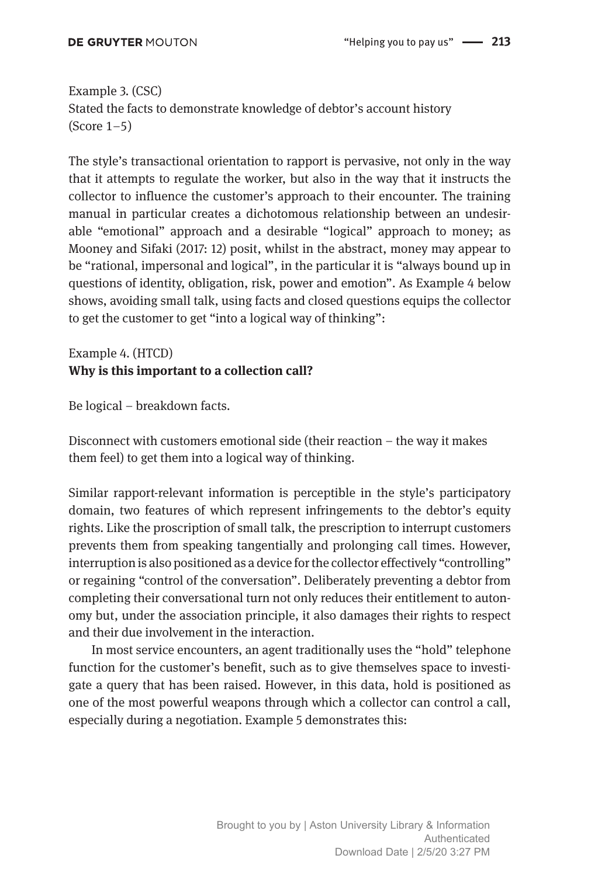Example 3. (CSC) Stated the facts to demonstrate knowledge of debtor's account history (Score 1–5)

The style's transactional orientation to rapport is pervasive, not only in the way that it attempts to regulate the worker, but also in the way that it instructs the collector to influence the customer's approach to their encounter. The training manual in particular creates a dichotomous relationship between an undesirable "emotional" approach and a desirable "logical" approach to money; as Mooney and Sifaki (2017: 12) posit, whilst in the abstract, money may appear to be "rational, impersonal and logical", in the particular it is "always bound up in questions of identity, obligation, risk, power and emotion". As Example 4 below shows, avoiding small talk, using facts and closed questions equips the collector to get the customer to get "into a logical way of thinking":

### Example 4. (HTCD) **Why is this important to a collection call?**

Be logical – breakdown facts.

Disconnect with customers emotional side (their reaction – the way it makes them feel) to get them into a logical way of thinking.

Similar rapport-relevant information is perceptible in the style's participatory domain, two features of which represent infringements to the debtor's equity rights. Like the proscription of small talk, the prescription to interrupt customers prevents them from speaking tangentially and prolonging call times. However, interruption is also positioned as a device for the collector effectively "controlling" or regaining "control of the conversation". Deliberately preventing a debtor from completing their conversational turn not only reduces their entitlement to autonomy but, under the association principle, it also damages their rights to respect and their due involvement in the interaction.

In most service encounters, an agent traditionally uses the "hold" telephone function for the customer's benefit, such as to give themselves space to investigate a query that has been raised. However, in this data, hold is positioned as one of the most powerful weapons through which a collector can control a call, especially during a negotiation. Example 5 demonstrates this: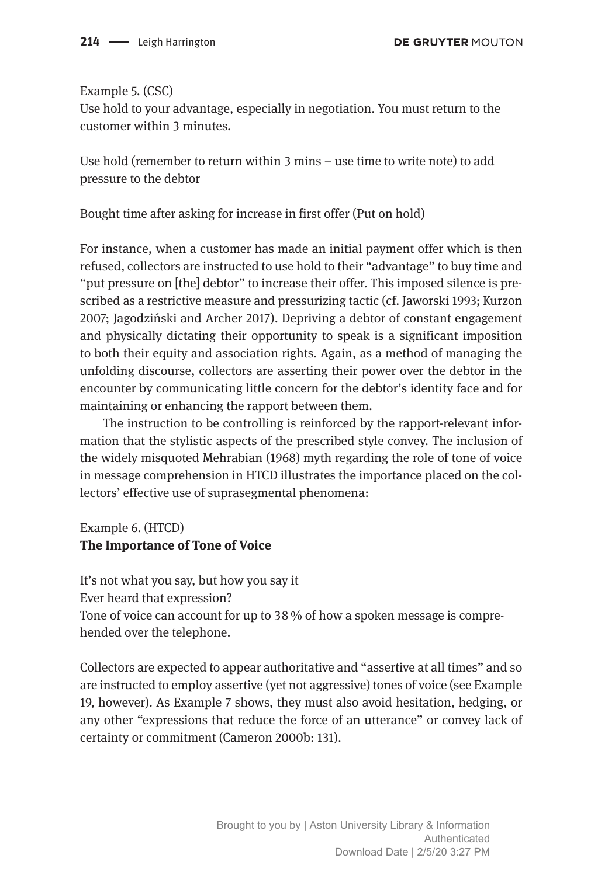#### Example 5. (CSC)

Use hold to your advantage, especially in negotiation. You must return to the customer within 3 minutes.

Use hold (remember to return within 3 mins – use time to write note) to add pressure to the debtor

Bought time after asking for increase in first offer (Put on hold)

For instance, when a customer has made an initial payment offer which is then refused, collectors are instructed to use hold to their "advantage" to buy time and "put pressure on [the] debtor" to increase their offer. This imposed silence is prescribed as a restrictive measure and pressurizing tactic (cf. Jaworski 1993; Kurzon 2007; Jagodziński and Archer 2017). Depriving a debtor of constant engagement and physically dictating their opportunity to speak is a significant imposition to both their equity and association rights. Again, as a method of managing the unfolding discourse, collectors are asserting their power over the debtor in the encounter by communicating little concern for the debtor's identity face and for maintaining or enhancing the rapport between them.

The instruction to be controlling is reinforced by the rapport-relevant information that the stylistic aspects of the prescribed style convey. The inclusion of the widely misquoted Mehrabian (1968) myth regarding the role of tone of voice in message comprehension in HTCD illustrates the importance placed on the collectors' effective use of suprasegmental phenomena:

#### Example 6. (HTCD) **The Importance of Tone of Voice**

It's not what you say, but how you say it Ever heard that expression? Tone of voice can account for up to 38 % of how a spoken message is comprehended over the telephone.

Collectors are expected to appear authoritative and "assertive at all times" and so are instructed to employ assertive (yet not aggressive) tones of voice (see Example 19, however). As Example 7 shows, they must also avoid hesitation, hedging, or any other "expressions that reduce the force of an utterance" or convey lack of certainty or commitment (Cameron 2000b: 131).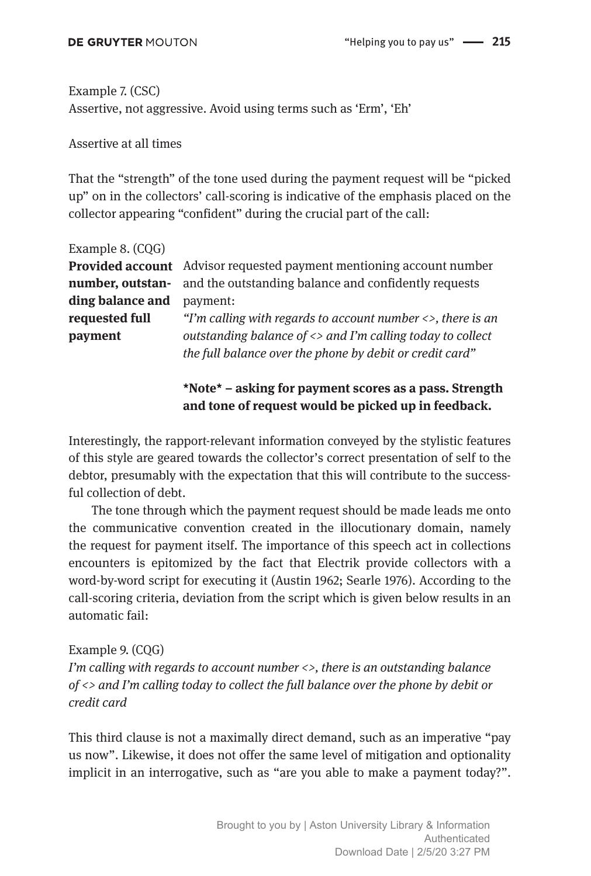Example 7. (CSC) Assertive, not aggressive. Avoid using terms such as 'Erm', 'Eh'

Assertive at all times

That the "strength" of the tone used during the payment request will be "picked up" on in the collectors' call-scoring is indicative of the emphasis placed on the collector appearing "confident" during the crucial part of the call:

Example 8. (CQG)

|                  | <b>Provided account</b> Advisor requested payment mentioning account number  |  |
|------------------|------------------------------------------------------------------------------|--|
|                  | <b>number, outstan-</b> and the outstanding balance and confidently requests |  |
| ding balance and | payment:                                                                     |  |
| requested full   | "I'm calling with regards to account number $\langle \rangle$ , there is an  |  |
| payment          | outstanding balance of $\langle \rangle$ and I'm calling today to collect    |  |
|                  | the full balance over the phone by debit or credit card"                     |  |
|                  |                                                                              |  |

#### **\*Note\* – asking for payment scores as a pass. Strength and tone of request would be picked up in feedback.**

Interestingly, the rapport-relevant information conveyed by the stylistic features of this style are geared towards the collector's correct presentation of self to the debtor, presumably with the expectation that this will contribute to the successful collection of debt.

The tone through which the payment request should be made leads me onto the communicative convention created in the illocutionary domain, namely the request for payment itself. The importance of this speech act in collections encounters is epitomized by the fact that Electrik provide collectors with a word-by-word script for executing it (Austin 1962; Searle 1976). According to the call-scoring criteria, deviation from the script which is given below results in an automatic fail:

#### Example 9. (CQG)

*I'm calling with regards to account number <>, there is an outstanding balance of <> and I'm calling today to collect the full balance over the phone by debit or credit card*

This third clause is not a maximally direct demand, such as an imperative "pay us now". Likewise, it does not offer the same level of mitigation and optionality implicit in an interrogative, such as "are you able to make a payment today?".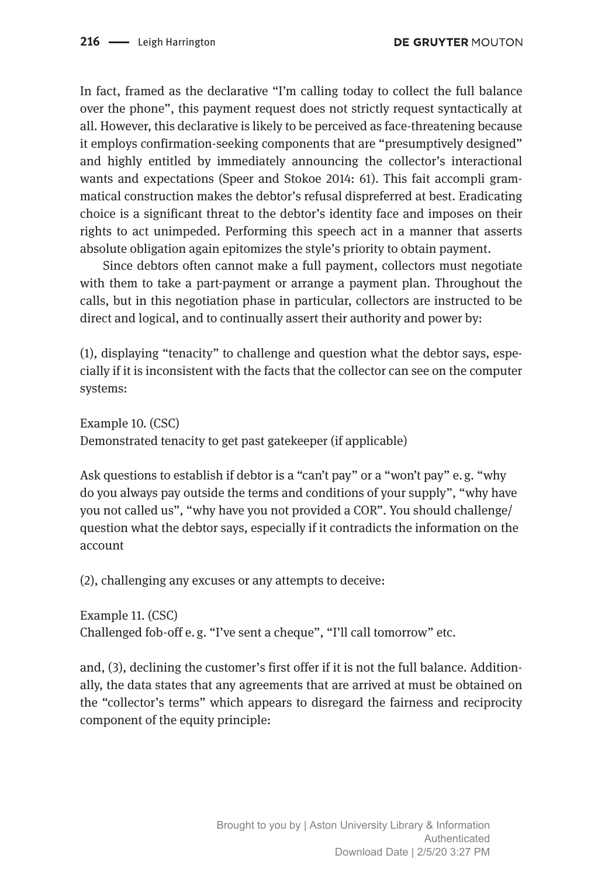In fact, framed as the declarative "I'm calling today to collect the full balance over the phone", this payment request does not strictly request syntactically at all. However, this declarative is likely to be perceived as face-threatening because it employs confirmation-seeking components that are "presumptively designed" and highly entitled by immediately announcing the collector's interactional wants and expectations (Speer and Stokoe 2014: 61). This fait accompli grammatical construction makes the debtor's refusal dispreferred at best. Eradicating choice is a significant threat to the debtor's identity face and imposes on their rights to act unimpeded. Performing this speech act in a manner that asserts absolute obligation again epitomizes the style's priority to obtain payment.

Since debtors often cannot make a full payment, collectors must negotiate with them to take a part-payment or arrange a payment plan. Throughout the calls, but in this negotiation phase in particular, collectors are instructed to be direct and logical, and to continually assert their authority and power by:

(1), displaying "tenacity" to challenge and question what the debtor says, especially if it is inconsistent with the facts that the collector can see on the computer systems:

Example 10. (CSC) Demonstrated tenacity to get past gatekeeper (if applicable)

Ask questions to establish if debtor is a "can't pay" or a "won't pay" e. g. "why do you always pay outside the terms and conditions of your supply", "why have you not called us", "why have you not provided a COR". You should challenge/ question what the debtor says, especially if it contradicts the information on the account

(2), challenging any excuses or any attempts to deceive:

Example 11. (CSC) Challenged fob-off e. g. "I've sent a cheque", "I'll call tomorrow" etc.

and, (3), declining the customer's first offer if it is not the full balance. Additionally, the data states that any agreements that are arrived at must be obtained on the "collector's terms" which appears to disregard the fairness and reciprocity component of the equity principle: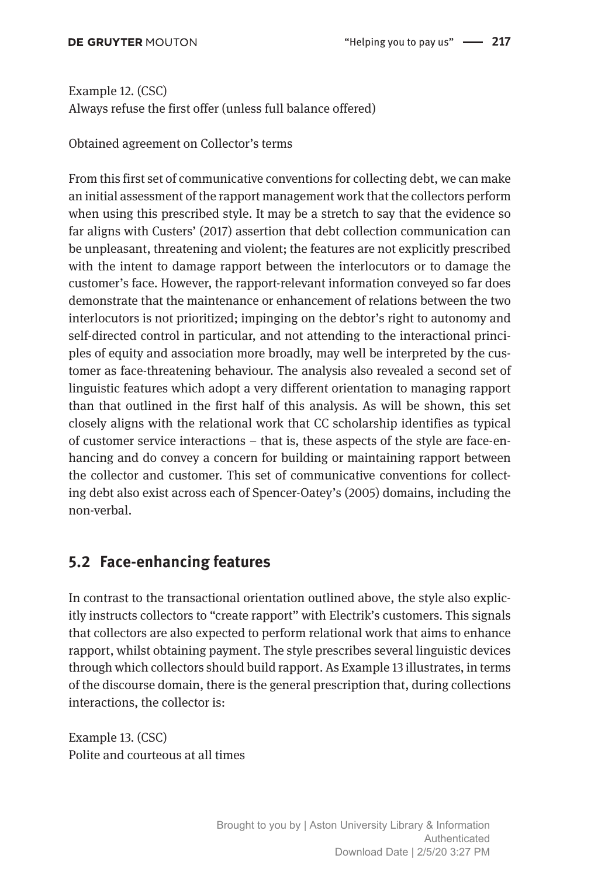### Example 12. (CSC) Always refuse the first offer (unless full balance offered)

Obtained agreement on Collector's terms

From this first set of communicative conventions for collecting debt, we can make an initial assessment of the rapport management work that the collectors perform when using this prescribed style. It may be a stretch to say that the evidence so far aligns with Custers' (2017) assertion that debt collection communication can be unpleasant, threatening and violent; the features are not explicitly prescribed with the intent to damage rapport between the interlocutors or to damage the customer's face. However, the rapport-relevant information conveyed so far does demonstrate that the maintenance or enhancement of relations between the two interlocutors is not prioritized; impinging on the debtor's right to autonomy and self-directed control in particular, and not attending to the interactional principles of equity and association more broadly, may well be interpreted by the customer as face-threatening behaviour. The analysis also revealed a second set of linguistic features which adopt a very different orientation to managing rapport than that outlined in the first half of this analysis. As will be shown, this set closely aligns with the relational work that CC scholarship identifies as typical of customer service interactions – that is, these aspects of the style are face-enhancing and do convey a concern for building or maintaining rapport between the collector and customer. This set of communicative conventions for collecting debt also exist across each of Spencer-Oatey's (2005) domains, including the non-verbal.

## **5.2 Face-enhancing features**

In contrast to the transactional orientation outlined above, the style also explicitly instructs collectors to "create rapport" with Electrik's customers. This signals that collectors are also expected to perform relational work that aims to enhance rapport, whilst obtaining payment. The style prescribes several linguistic devices through which collectors should build rapport. As Example 13 illustrates, in terms of the discourse domain, there is the general prescription that, during collections interactions, the collector is:

Example 13. (CSC) Polite and courteous at all times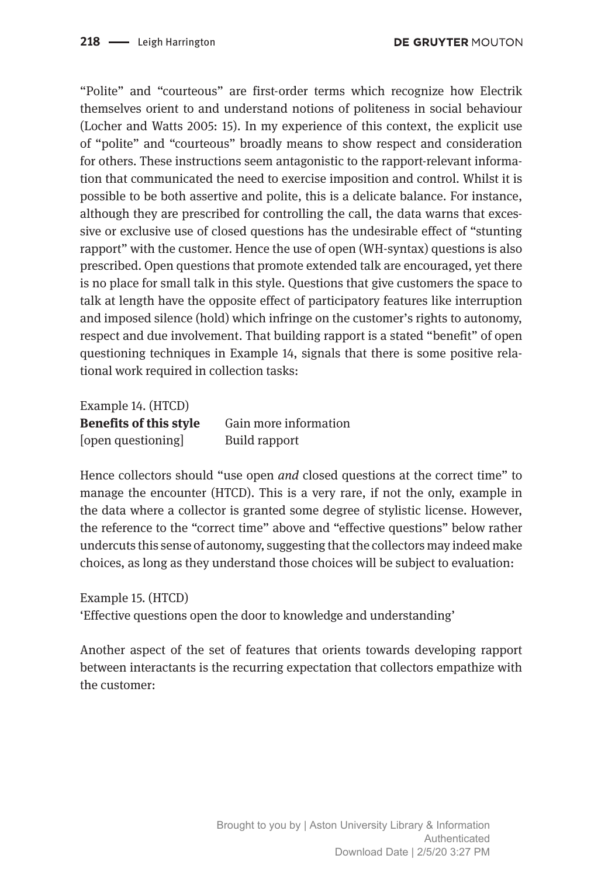"Polite" and "courteous" are first-order terms which recognize how Electrik themselves orient to and understand notions of politeness in social behaviour (Locher and Watts 2005: 15). In my experience of this context, the explicit use of "polite" and "courteous" broadly means to show respect and consideration for others. These instructions seem antagonistic to the rapport-relevant information that communicated the need to exercise imposition and control. Whilst it is possible to be both assertive and polite, this is a delicate balance. For instance, although they are prescribed for controlling the call, the data warns that excessive or exclusive use of closed questions has the undesirable effect of "stunting rapport" with the customer. Hence the use of open (WH-syntax) questions is also prescribed. Open questions that promote extended talk are encouraged, yet there is no place for small talk in this style. Questions that give customers the space to talk at length have the opposite effect of participatory features like interruption and imposed silence (hold) which infringe on the customer's rights to autonomy, respect and due involvement. That building rapport is a stated "benefit" of open questioning techniques in Example 14, signals that there is some positive relational work required in collection tasks:

Example 14. (HTCD)

| <b>Benefits of this style</b> | Gain more information |
|-------------------------------|-----------------------|
| [open questioning]            | Build rapport         |

Hence collectors should "use open *and* closed questions at the correct time" to manage the encounter (HTCD). This is a very rare, if not the only, example in the data where a collector is granted some degree of stylistic license. However, the reference to the "correct time" above and "effective questions" below rather undercuts this sense of autonomy, suggesting that the collectors may indeed make choices, as long as they understand those choices will be subject to evaluation:

Example 15. (HTCD) 'Effective questions open the door to knowledge and understanding'

Another aspect of the set of features that orients towards developing rapport between interactants is the recurring expectation that collectors empathize with the customer: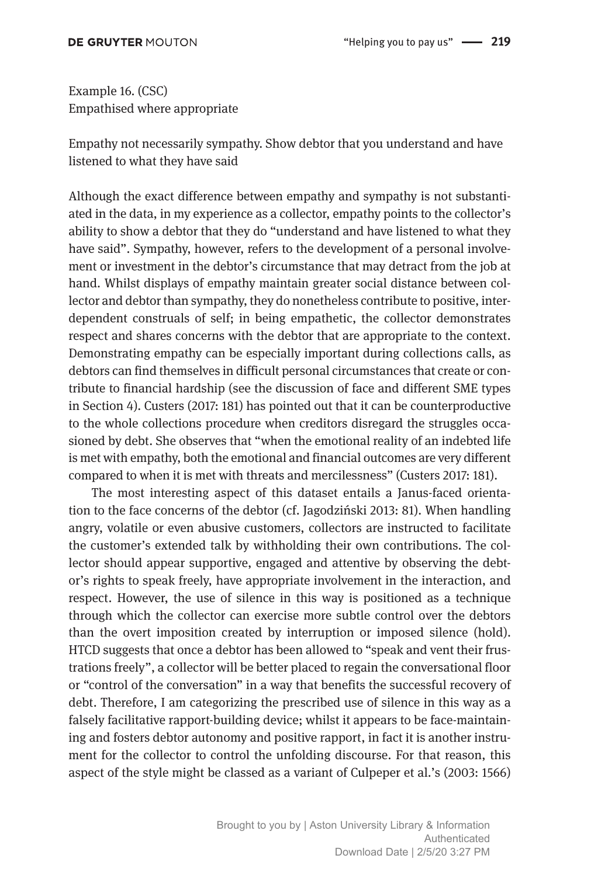Example 16. (CSC) Empathised where appropriate

Empathy not necessarily sympathy. Show debtor that you understand and have listened to what they have said

Although the exact difference between empathy and sympathy is not substantiated in the data, in my experience as a collector, empathy points to the collector's ability to show a debtor that they do "understand and have listened to what they have said". Sympathy, however, refers to the development of a personal involvement or investment in the debtor's circumstance that may detract from the job at hand. Whilst displays of empathy maintain greater social distance between collector and debtor than sympathy, they do nonetheless contribute to positive, interdependent construals of self; in being empathetic, the collector demonstrates respect and shares concerns with the debtor that are appropriate to the context. Demonstrating empathy can be especially important during collections calls, as debtors can find themselves in difficult personal circumstances that create or contribute to financial hardship (see the discussion of face and different SME types in Section 4). Custers (2017: 181) has pointed out that it can be counterproductive to the whole collections procedure when creditors disregard the struggles occasioned by debt. She observes that "when the emotional reality of an indebted life is met with empathy, both the emotional and financial outcomes are very different compared to when it is met with threats and mercilessness" (Custers 2017: 181).

The most interesting aspect of this dataset entails a Janus-faced orientation to the face concerns of the debtor (cf. Jagodziński 2013: 81). When handling angry, volatile or even abusive customers, collectors are instructed to facilitate the customer's extended talk by withholding their own contributions. The collector should appear supportive, engaged and attentive by observing the debtor's rights to speak freely, have appropriate involvement in the interaction, and respect. However, the use of silence in this way is positioned as a technique through which the collector can exercise more subtle control over the debtors than the overt imposition created by interruption or imposed silence (hold). HTCD suggests that once a debtor has been allowed to "speak and vent their frustrations freely", a collector will be better placed to regain the conversational floor or "control of the conversation" in a way that benefits the successful recovery of debt. Therefore, I am categorizing the prescribed use of silence in this way as a falsely facilitative rapport-building device; whilst it appears to be face-maintaining and fosters debtor autonomy and positive rapport, in fact it is another instrument for the collector to control the unfolding discourse. For that reason, this aspect of the style might be classed as a variant of Culpeper et al.'s (2003: 1566)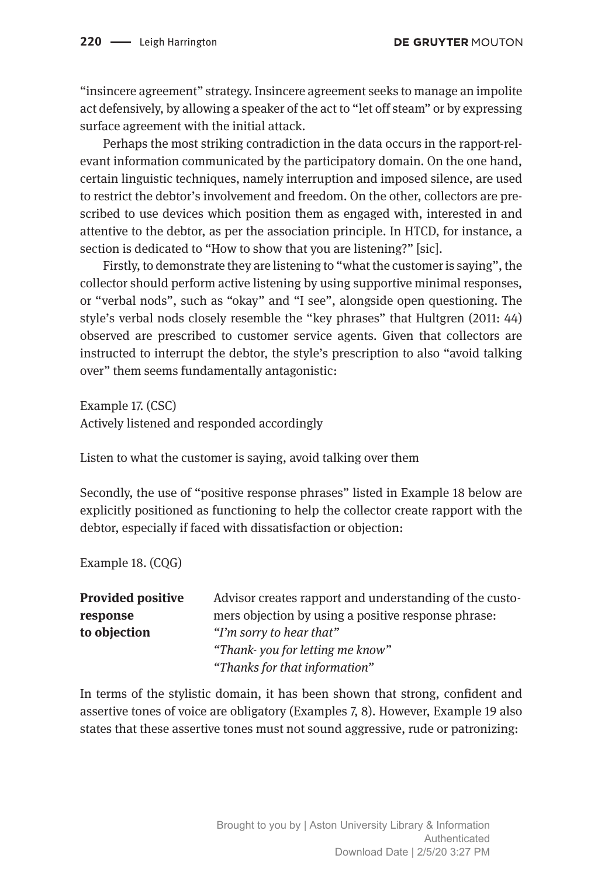"insincere agreement" strategy. Insincere agreement seeks to manage an impolite act defensively, by allowing a speaker of the act to "let off steam" or by expressing surface agreement with the initial attack.

Perhaps the most striking contradiction in the data occurs in the rapport-relevant information communicated by the participatory domain. On the one hand, certain linguistic techniques, namely interruption and imposed silence, are used to restrict the debtor's involvement and freedom. On the other, collectors are prescribed to use devices which position them as engaged with, interested in and attentive to the debtor, as per the association principle. In HTCD, for instance, a section is dedicated to "How to show that you are listening?" [sic].

Firstly, to demonstrate they are listening to "what the customer is saying", the collector should perform active listening by using supportive minimal responses, or "verbal nods", such as "okay" and "I see", alongside open questioning. The style's verbal nods closely resemble the "key phrases" that Hultgren (2011: 44) observed are prescribed to customer service agents. Given that collectors are instructed to interrupt the debtor, the style's prescription to also "avoid talking over" them seems fundamentally antagonistic:

Example 17. (CSC) Actively listened and responded accordingly

Listen to what the customer is saying, avoid talking over them

Secondly, the use of "positive response phrases" listed in Example 18 below are explicitly positioned as functioning to help the collector create rapport with the debtor, especially if faced with dissatisfaction or objection:

Example 18. (CQG)

| <b>Provided positive</b> | Advisor creates rapport and understanding of the custo- |
|--------------------------|---------------------------------------------------------|
| response                 | mers objection by using a positive response phrase:     |
| to objection             | "I'm sorry to hear that"                                |
|                          | "Thank- you for letting me know"                        |
|                          | "Thanks for that information"                           |

In terms of the stylistic domain, it has been shown that strong, confident and assertive tones of voice are obligatory (Examples 7, 8). However, Example 19 also states that these assertive tones must not sound aggressive, rude or patronizing: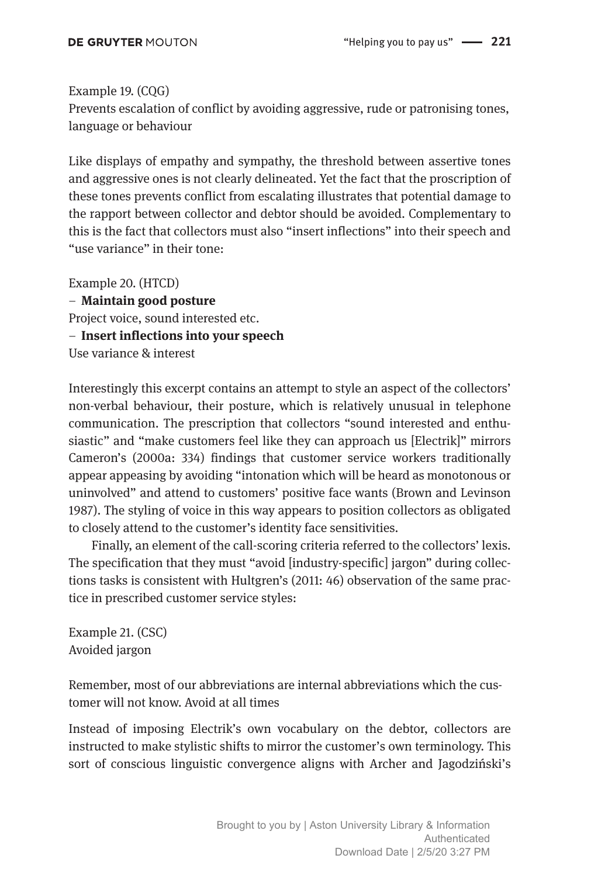Example 19. (CQG) Prevents escalation of conflict by avoiding aggressive, rude or patronising tones, language or behaviour

Like displays of empathy and sympathy, the threshold between assertive tones and aggressive ones is not clearly delineated. Yet the fact that the proscription of these tones prevents conflict from escalating illustrates that potential damage to the rapport between collector and debtor should be avoided. Complementary to this is the fact that collectors must also "insert inflections" into their speech and "use variance" in their tone:

Example 20. (HTCD)

– **Maintain good posture**

Project voice, sound interested etc.

– **Insert inflections into your speech**

Use variance & interest

Interestingly this excerpt contains an attempt to style an aspect of the collectors' non-verbal behaviour, their posture, which is relatively unusual in telephone communication. The prescription that collectors "sound interested and enthusiastic" and "make customers feel like they can approach us [Electrik]" mirrors Cameron's (2000a: 334) findings that customer service workers traditionally appear appeasing by avoiding "intonation which will be heard as monotonous or uninvolved" and attend to customers' positive face wants (Brown and Levinson 1987). The styling of voice in this way appears to position collectors as obligated to closely attend to the customer's identity face sensitivities.

Finally, an element of the call-scoring criteria referred to the collectors' lexis. The specification that they must "avoid [industry-specific] jargon" during collections tasks is consistent with Hultgren's (2011: 46) observation of the same practice in prescribed customer service styles:

Example 21. (CSC) Avoided jargon

Remember, most of our abbreviations are internal abbreviations which the customer will not know. Avoid at all times

Instead of imposing Electrik's own vocabulary on the debtor, collectors are instructed to make stylistic shifts to mirror the customer's own terminology. This sort of conscious linguistic convergence aligns with Archer and Jagodziński's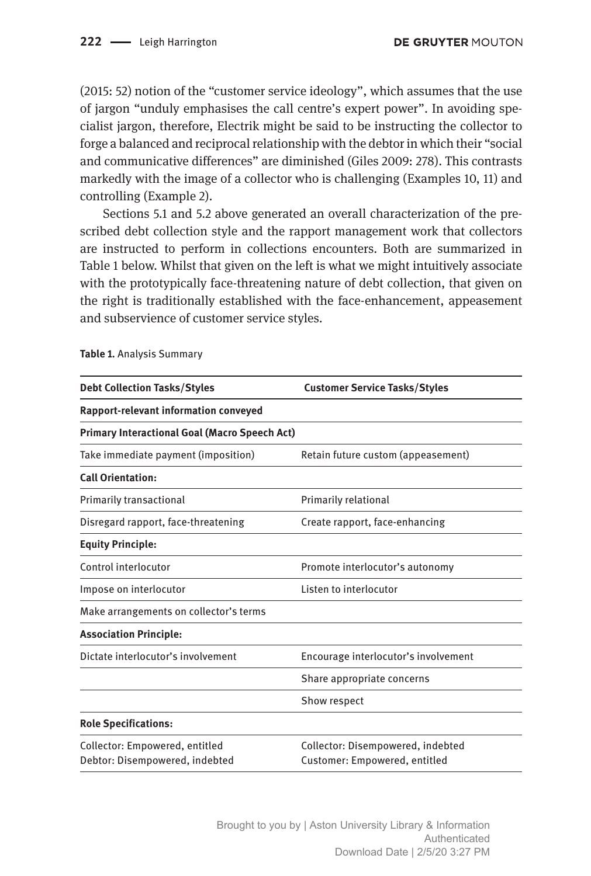(2015: 52) notion of the "customer service ideology", which assumes that the use of jargon "unduly emphasises the call centre's expert power". In avoiding specialist jargon, therefore, Electrik might be said to be instructing the collector to forge a balanced and reciprocal relationship with the debtor in which their "social and communicative differences" are diminished (Giles 2009: 278). This contrasts markedly with the image of a collector who is challenging (Examples 10, 11) and controlling (Example 2).

Sections 5.1 and 5.2 above generated an overall characterization of the prescribed debt collection style and the rapport management work that collectors are instructed to perform in collections encounters. Both are summarized in Table 1 below. Whilst that given on the left is what we might intuitively associate with the prototypically face-threatening nature of debt collection, that given on the right is traditionally established with the face-enhancement, appeasement and subservience of customer service styles.

| <b>Debt Collection Tasks/Styles</b>                  | <b>Customer Service Tasks/Styles</b> |
|------------------------------------------------------|--------------------------------------|
| Rapport-relevant information conveyed                |                                      |
| <b>Primary Interactional Goal (Macro Speech Act)</b> |                                      |
| Take immediate payment (imposition)                  | Retain future custom (appeasement)   |
| <b>Call Orientation:</b>                             |                                      |
| Primarily transactional                              | Primarily relational                 |
| Disregard rapport, face-threatening                  | Create rapport, face-enhancing       |
| <b>Equity Principle:</b>                             |                                      |
| Control interlocutor                                 | Promote interlocutor's autonomy      |
| Impose on interlocutor                               | Listen to interlocutor               |
| Make arrangements on collector's terms               |                                      |
| <b>Association Principle:</b>                        |                                      |
| Dictate interlocutor's involvement                   | Encourage interlocutor's involvement |
|                                                      | Share appropriate concerns           |
|                                                      | Show respect                         |
| <b>Role Specifications:</b>                          |                                      |
| Collector: Empowered, entitled                       | Collector: Disempowered, indebted    |
| Debtor: Disempowered, indebted                       | Customer: Empowered, entitled        |

**Table 1.** Analysis Summary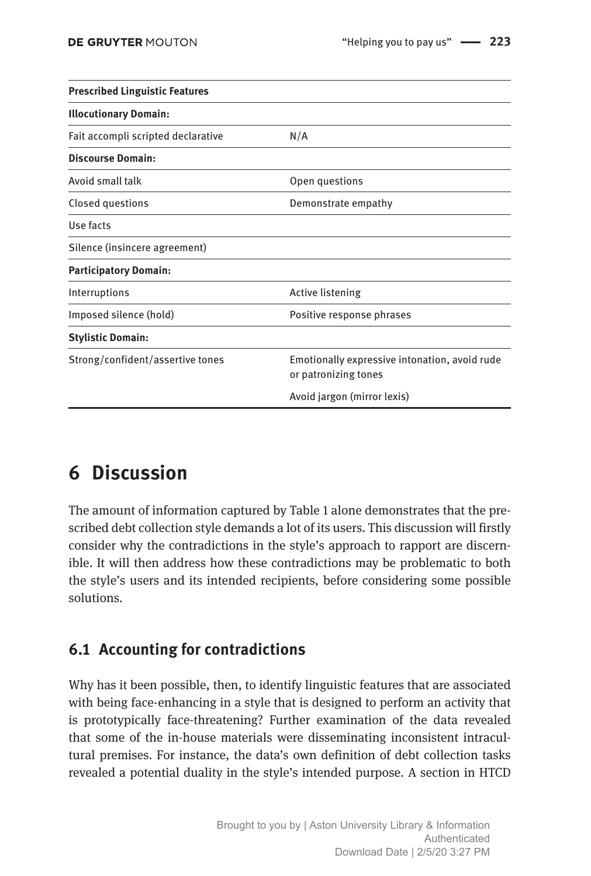| <b>Prescribed Linguistic Features</b> |                                                                       |
|---------------------------------------|-----------------------------------------------------------------------|
| <b>Illocutionary Domain:</b>          |                                                                       |
| Fait accompli scripted declarative    | N/A                                                                   |
| <b>Discourse Domain:</b>              |                                                                       |
| Avoid small talk                      | Open questions                                                        |
| Closed questions                      | Demonstrate empathy                                                   |
| Use facts                             |                                                                       |
| Silence (insincere agreement)         |                                                                       |
| <b>Participatory Domain:</b>          |                                                                       |
| Interruptions                         | <b>Active listening</b>                                               |
| Imposed silence (hold)                | Positive response phrases                                             |
| <b>Stylistic Domain:</b>              |                                                                       |
| Strong/confident/assertive tones      | Emotionally expressive intonation, avoid rude<br>or patronizing tones |
|                                       | Avoid jargon (mirror lexis)                                           |

# **6 Discussion**

The amount of information captured by Table 1 alone demonstrates that the prescribed debt collection style demands a lot of its users. This discussion will firstly consider why the contradictions in the style's approach to rapport are discernible. It will then address how these contradictions may be problematic to both the style's users and its intended recipients, before considering some possible solutions.

### **6.1 Accounting for contradictions**

Why has it been possible, then, to identify linguistic features that are associated with being face-enhancing in a style that is designed to perform an activity that is prototypically face-threatening? Further examination of the data revealed that some of the in-house materials were disseminating inconsistent intracultural premises. For instance, the data's own definition of debt collection tasks revealed a potential duality in the style's intended purpose. A section in HTCD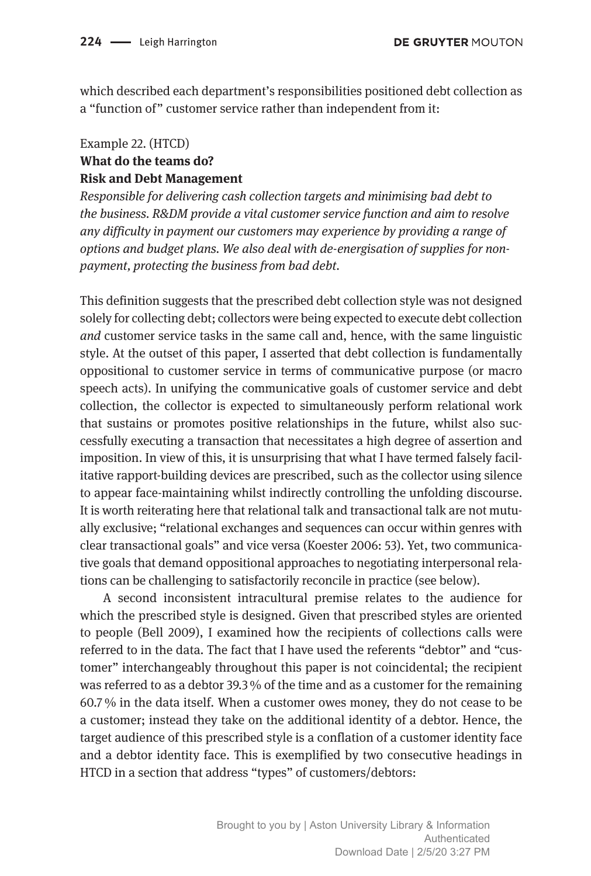which described each department's responsibilities positioned debt collection as a "function of" customer service rather than independent from it:

#### Example 22. (HTCD) **What do the teams do? Risk and Debt Management**

*Responsible for delivering cash collection targets and minimising bad debt to the business. R&DM provide a vital customer service function and aim to resolve any difficulty in payment our customers may experience by providing a range of options and budget plans. We also deal with de-energisation of supplies for nonpayment, protecting the business from bad debt.*

This definition suggests that the prescribed debt collection style was not designed solely for collecting debt; collectors were being expected to execute debt collection *and* customer service tasks in the same call and, hence, with the same linguistic style. At the outset of this paper, I asserted that debt collection is fundamentally oppositional to customer service in terms of communicative purpose (or macro speech acts). In unifying the communicative goals of customer service and debt collection, the collector is expected to simultaneously perform relational work that sustains or promotes positive relationships in the future, whilst also successfully executing a transaction that necessitates a high degree of assertion and imposition. In view of this, it is unsurprising that what I have termed falsely facilitative rapport-building devices are prescribed, such as the collector using silence to appear face-maintaining whilst indirectly controlling the unfolding discourse. It is worth reiterating here that relational talk and transactional talk are not mutually exclusive; "relational exchanges and sequences can occur within genres with clear transactional goals" and vice versa (Koester 2006: 53). Yet, two communicative goals that demand oppositional approaches to negotiating interpersonal relations can be challenging to satisfactorily reconcile in practice (see below).

A second inconsistent intracultural premise relates to the audience for which the prescribed style is designed. Given that prescribed styles are oriented to people (Bell 2009), I examined how the recipients of collections calls were referred to in the data. The fact that I have used the referents "debtor" and "customer" interchangeably throughout this paper is not coincidental; the recipient was referred to as a debtor 39.3 % of the time and as a customer for the remaining 60.7 % in the data itself. When a customer owes money, they do not cease to be a customer; instead they take on the additional identity of a debtor. Hence, the target audience of this prescribed style is a conflation of a customer identity face and a debtor identity face. This is exemplified by two consecutive headings in HTCD in a section that address "types" of customers/debtors: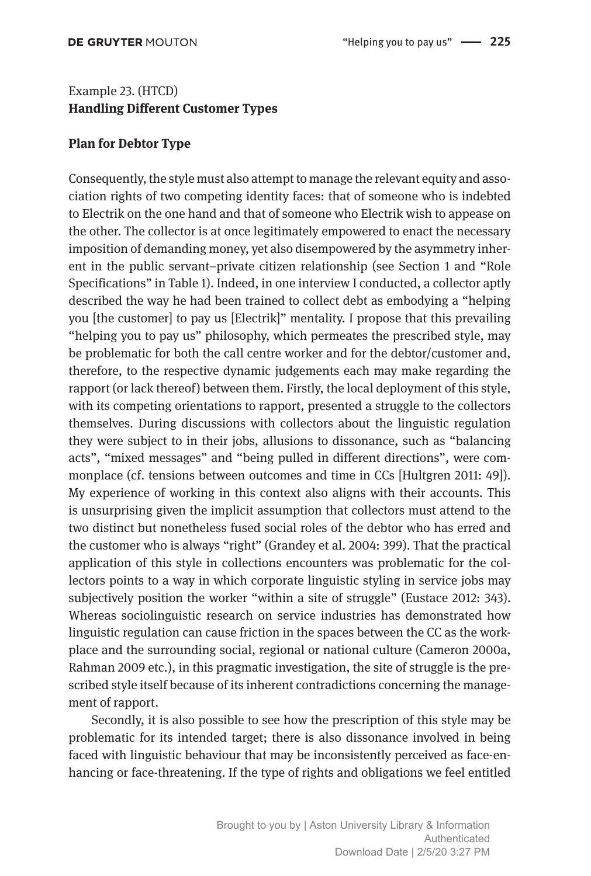#### Example 23. (HTCD) **Handling Different Customer Types**

#### **Plan for Debtor Type**

Consequently, the style must also attempt to manage the relevant equity and association rights of two competing identity faces: that of someone who is indebted to Electrik on the one hand and that of someone who Electrik wish to appease on the other. The collector is at once legitimately empowered to enact the necessary imposition of demanding money, yet also disempowered by the asymmetry inherent in the public servant–private citizen relationship (see Section 1 and "Role Specifications" in Table 1). Indeed, in one interview I conducted, a collector aptly described the way he had been trained to collect debt as embodying a "helping you [the customer] to pay us [Electrik]" mentality. I propose that this prevailing "helping you to pay us" philosophy, which permeates the prescribed style, may be problematic for both the call centre worker and for the debtor/customer and, therefore, to the respective dynamic judgements each may make regarding the rapport (or lack thereof) between them. Firstly, the local deployment of this style, with its competing orientations to rapport, presented a struggle to the collectors themselves. During discussions with collectors about the linguistic regulation they were subject to in their jobs, allusions to dissonance, such as "balancing acts", "mixed messages" and "being pulled in different directions", were commonplace (cf. tensions between outcomes and time in CCs [Hultgren 2011: 49]). My experience of working in this context also aligns with their accounts. This is unsurprising given the implicit assumption that collectors must attend to the two distinct but nonetheless fused social roles of the debtor who has erred and the customer who is always "right" (Grandey et al. 2004: 399). That the practical application of this style in collections encounters was problematic for the collectors points to a way in which corporate linguistic styling in service jobs may subjectively position the worker "within a site of struggle" (Eustace 2012: 343). Whereas sociolinguistic research on service industries has demonstrated how linguistic regulation can cause friction in the spaces between the CC as the workplace and the surrounding social, regional or national culture (Cameron 2000a, Rahman 2009 etc.), in this pragmatic investigation, the site of struggle is the prescribed style itself because of its inherent contradictions concerning the management of rapport.

Secondly, it is also possible to see how the prescription of this style may be problematic for its intended target; there is also dissonance involved in being faced with linguistic behaviour that may be inconsistently perceived as face-enhancing or face-threatening. If the type of rights and obligations we feel entitled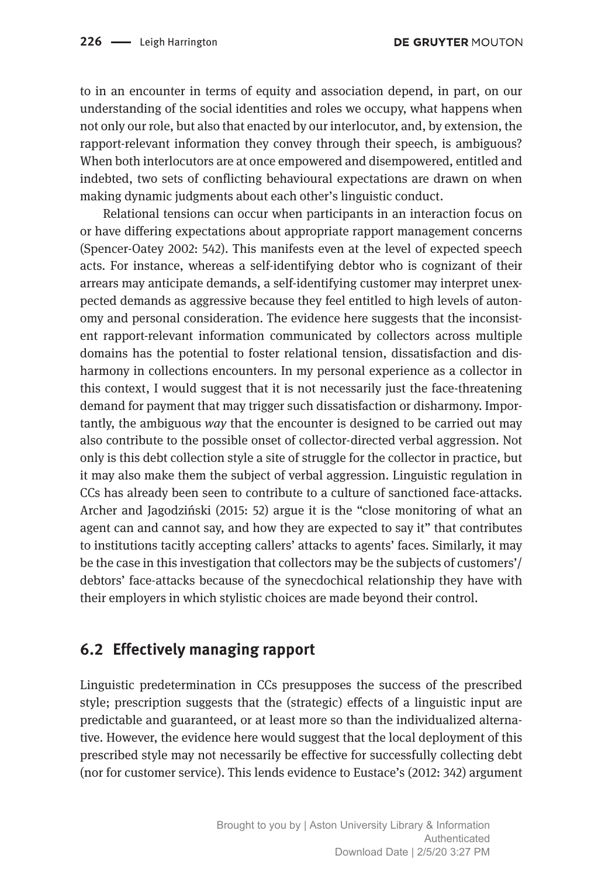to in an encounter in terms of equity and association depend, in part, on our understanding of the social identities and roles we occupy, what happens when not only our role, but also that enacted by our interlocutor, and, by extension, the rapport-relevant information they convey through their speech, is ambiguous? When both interlocutors are at once empowered and disempowered, entitled and indebted, two sets of conflicting behavioural expectations are drawn on when making dynamic judgments about each other's linguistic conduct.

Relational tensions can occur when participants in an interaction focus on or have differing expectations about appropriate rapport management concerns (Spencer-Oatey 2002: 542). This manifests even at the level of expected speech acts. For instance, whereas a self-identifying debtor who is cognizant of their arrears may anticipate demands, a self-identifying customer may interpret unexpected demands as aggressive because they feel entitled to high levels of autonomy and personal consideration. The evidence here suggests that the inconsistent rapport-relevant information communicated by collectors across multiple domains has the potential to foster relational tension, dissatisfaction and disharmony in collections encounters. In my personal experience as a collector in this context, I would suggest that it is not necessarily just the face-threatening demand for payment that may trigger such dissatisfaction or disharmony. Importantly, the ambiguous *way* that the encounter is designed to be carried out may also contribute to the possible onset of collector-directed verbal aggression. Not only is this debt collection style a site of struggle for the collector in practice, but it may also make them the subject of verbal aggression. Linguistic regulation in CCs has already been seen to contribute to a culture of sanctioned face-attacks. Archer and Jagodziński (2015: 52) argue it is the "close monitoring of what an agent can and cannot say, and how they are expected to say it" that contributes to institutions tacitly accepting callers' attacks to agents' faces. Similarly, it may be the case in this investigation that collectors may be the subjects of customers'/ debtors' face-attacks because of the synecdochical relationship they have with their employers in which stylistic choices are made beyond their control.

### **6.2 Effectively managing rapport**

Linguistic predetermination in CCs presupposes the success of the prescribed style; prescription suggests that the (strategic) effects of a linguistic input are predictable and guaranteed, or at least more so than the individualized alternative. However, the evidence here would suggest that the local deployment of this prescribed style may not necessarily be effective for successfully collecting debt (nor for customer service). This lends evidence to Eustace's (2012: 342) argument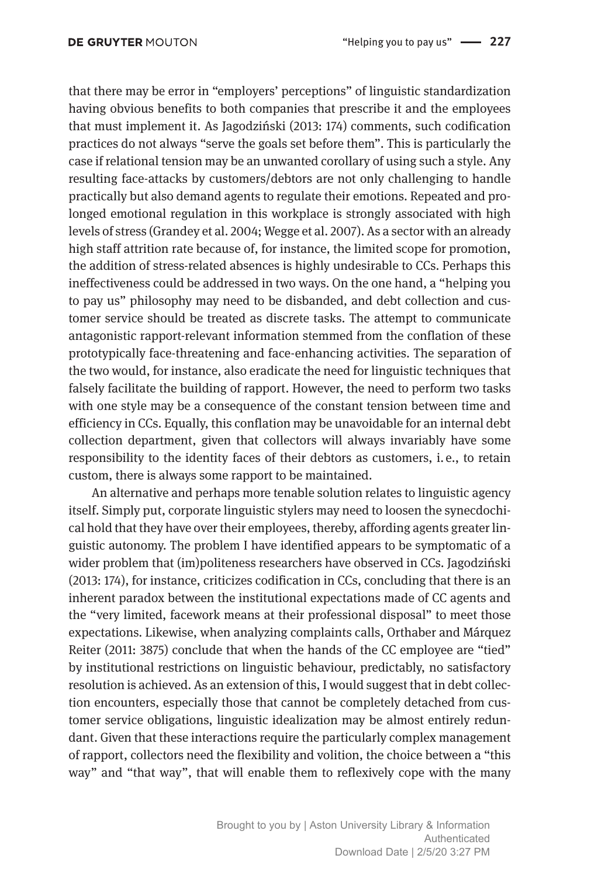that there may be error in "employers' perceptions" of linguistic standardization having obvious benefits to both companies that prescribe it and the employees that must implement it. As Jagodziński (2013: 174) comments, such codification practices do not always "serve the goals set before them". This is particularly the case if relational tension may be an unwanted corollary of using such a style. Any resulting face-attacks by customers/debtors are not only challenging to handle practically but also demand agents to regulate their emotions. Repeated and prolonged emotional regulation in this workplace is strongly associated with high levels of stress (Grandey et al. 2004; Wegge et al. 2007). As a sector with an already high staff attrition rate because of, for instance, the limited scope for promotion, the addition of stress-related absences is highly undesirable to CCs. Perhaps this ineffectiveness could be addressed in two ways. On the one hand, a "helping you to pay us" philosophy may need to be disbanded, and debt collection and customer service should be treated as discrete tasks. The attempt to communicate antagonistic rapport-relevant information stemmed from the conflation of these prototypically face-threatening and face-enhancing activities. The separation of the two would, for instance, also eradicate the need for linguistic techniques that falsely facilitate the building of rapport. However, the need to perform two tasks with one style may be a consequence of the constant tension between time and efficiency in CCs. Equally, this conflation may be unavoidable for an internal debt collection department, given that collectors will always invariably have some responsibility to the identity faces of their debtors as customers, i. e., to retain custom, there is always some rapport to be maintained.

An alternative and perhaps more tenable solution relates to linguistic agency itself. Simply put, corporate linguistic stylers may need to loosen the synecdochical hold that they have over their employees, thereby, affording agents greater linguistic autonomy. The problem I have identified appears to be symptomatic of a wider problem that (im)politeness researchers have observed in CCs. Jagodziński (2013: 174), for instance, criticizes codification in CCs, concluding that there is an inherent paradox between the institutional expectations made of CC agents and the "very limited, facework means at their professional disposal" to meet those expectations. Likewise, when analyzing complaints calls, Orthaber and Márquez Reiter (2011: 3875) conclude that when the hands of the CC employee are "tied" by institutional restrictions on linguistic behaviour, predictably, no satisfactory resolution is achieved. As an extension of this, I would suggest that in debt collection encounters, especially those that cannot be completely detached from customer service obligations, linguistic idealization may be almost entirely redundant. Given that these interactions require the particularly complex management of rapport, collectors need the flexibility and volition, the choice between a "this way" and "that way", that will enable them to reflexively cope with the many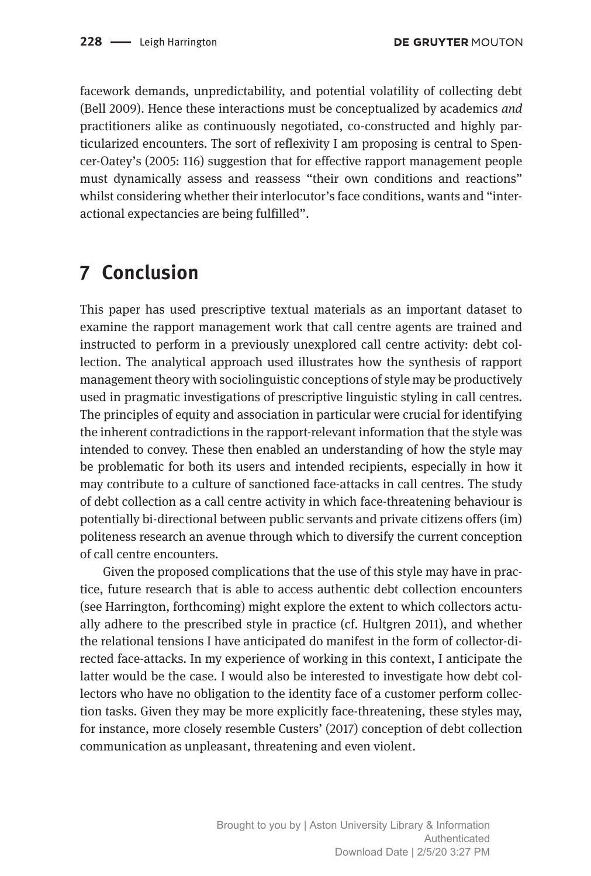facework demands, unpredictability, and potential volatility of collecting debt (Bell 2009). Hence these interactions must be conceptualized by academics *and*  practitioners alike as continuously negotiated, co-constructed and highly particularized encounters. The sort of reflexivity I am proposing is central to Spencer-Oatey's (2005: 116) suggestion that for effective rapport management people must dynamically assess and reassess "their own conditions and reactions" whilst considering whether their interlocutor's face conditions, wants and "interactional expectancies are being fulfilled".

## **7 Conclusion**

This paper has used prescriptive textual materials as an important dataset to examine the rapport management work that call centre agents are trained and instructed to perform in a previously unexplored call centre activity: debt collection. The analytical approach used illustrates how the synthesis of rapport management theory with sociolinguistic conceptions of style may be productively used in pragmatic investigations of prescriptive linguistic styling in call centres. The principles of equity and association in particular were crucial for identifying the inherent contradictions in the rapport-relevant information that the style was intended to convey. These then enabled an understanding of how the style may be problematic for both its users and intended recipients, especially in how it may contribute to a culture of sanctioned face-attacks in call centres. The study of debt collection as a call centre activity in which face-threatening behaviour is potentially bi-directional between public servants and private citizens offers (im) politeness research an avenue through which to diversify the current conception of call centre encounters.

Given the proposed complications that the use of this style may have in practice, future research that is able to access authentic debt collection encounters (see Harrington, forthcoming) might explore the extent to which collectors actually adhere to the prescribed style in practice (cf. Hultgren 2011), and whether the relational tensions I have anticipated do manifest in the form of collector-directed face-attacks. In my experience of working in this context, I anticipate the latter would be the case. I would also be interested to investigate how debt collectors who have no obligation to the identity face of a customer perform collection tasks. Given they may be more explicitly face-threatening, these styles may, for instance, more closely resemble Custers' (2017) conception of debt collection communication as unpleasant, threatening and even violent.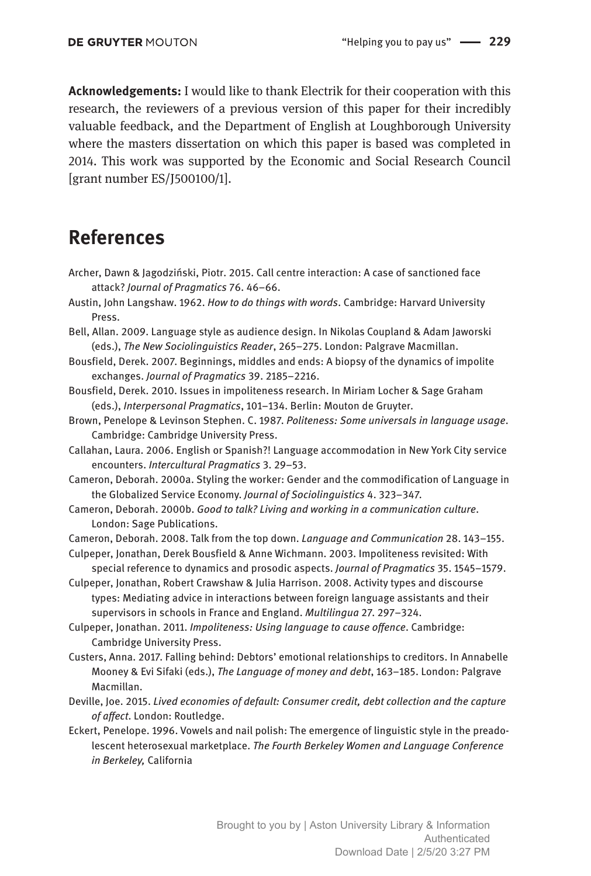**Acknowledgements:** I would like to thank Electrik for their cooperation with this research, the reviewers of a previous version of this paper for their incredibly valuable feedback, and the Department of English at Loughborough University where the masters dissertation on which this paper is based was completed in 2014. This work was supported by the Economic and Social Research Council [grant number ES/J500100/1].

## **References**

- Archer, Dawn & Jagodziński, Piotr. 2015. Call centre interaction: A case of sanctioned face attack? *Journal of Pragmatics* 76. 46–66.
- Austin, John Langshaw. 1962. *How to do things with words*. Cambridge: Harvard University Press.
- Bell, Allan. 2009. Language style as audience design. In Nikolas Coupland & Adam Jaworski (eds.), *The New Sociolinguistics Reader*, 265–275. London: Palgrave Macmillan.
- Bousfield, Derek. 2007. Beginnings, middles and ends: A biopsy of the dynamics of impolite exchanges. *Journal of Pragmatics* 39. 2185–2216.
- Bousfield, Derek. 2010. Issues in impoliteness research. In Miriam Locher & Sage Graham (eds.), *Interpersonal Pragmatics*, 101–134. Berlin: Mouton de Gruyter.
- Brown, Penelope & Levinson Stephen. C. 1987. *Politeness: Some universals in language usage*. Cambridge: Cambridge University Press.
- Callahan, Laura. 2006. English or Spanish?! Language accommodation in New York City service encounters. *Intercultural Pragmatics* 3. 29–53.
- Cameron, Deborah. 2000a. Styling the worker: Gender and the commodification of Language in the Globalized Service Economy. *Journal of Sociolinguistics* 4. 323–347.
- Cameron, Deborah. 2000b. *Good to talk? Living and working in a communication culture*. London: Sage Publications.
- Cameron, Deborah. 2008. Talk from the top down. *Language and Communication* 28. 143–155.
- Culpeper, Jonathan, Derek Bousfield & Anne Wichmann. 2003. Impoliteness revisited: With special reference to dynamics and prosodic aspects. *Journal of Pragmatics* 35. 1545–1579.
- Culpeper, Jonathan, Robert Crawshaw & Julia Harrison. 2008. Activity types and discourse types: Mediating advice in interactions between foreign language assistants and their supervisors in schools in France and England. *Multilingua* 27. 297–324.
- Culpeper, Jonathan. 2011. *Impoliteness: Using language to cause offence*. Cambridge: Cambridge University Press.
- Custers, Anna. 2017. Falling behind: Debtors' emotional relationships to creditors. In Annabelle Mooney & Evi Sifaki (eds.), *The Language of money and debt*, 163–185. London: Palgrave Macmillan.
- Deville, Joe. 2015. *Lived economies of default: Consumer credit, debt collection and the capture of affect*. London: Routledge.
- Eckert, Penelope. 1996. Vowels and nail polish: The emergence of linguistic style in the preadolescent heterosexual marketplace. *The Fourth Berkeley Women and Language Conference in Berkeley,* California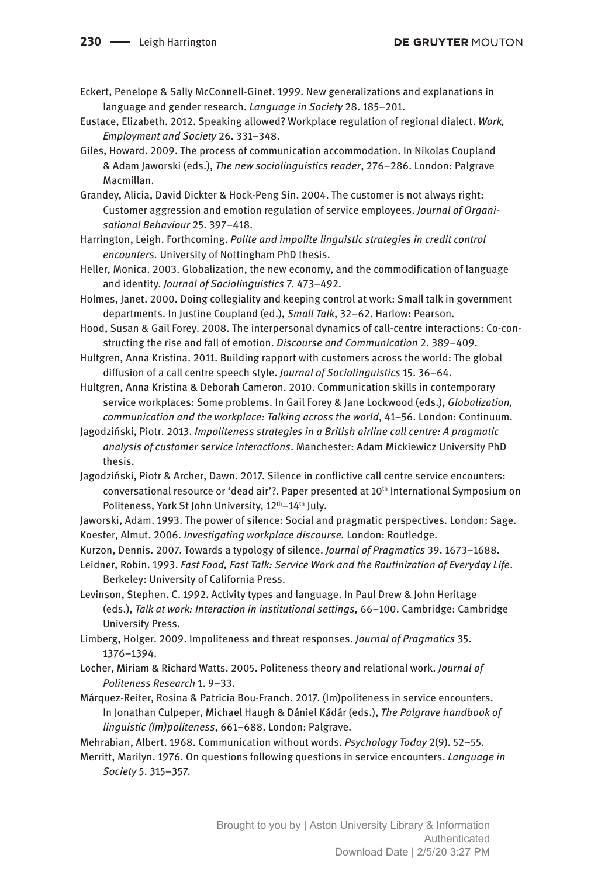- Eckert, Penelope & Sally McConnell-Ginet. 1999. New generalizations and explanations in language and gender research. *Language in Society* 28. 185–201.
- Eustace, Elizabeth. 2012. Speaking allowed? Workplace regulation of regional dialect. *Work, Employment and Society* 26. 331–348.
- Giles, Howard. 2009. The process of communication accommodation. In Nikolas Coupland & Adam Jaworski (eds.), *The new sociolinguistics reader*, 276–286. London: Palgrave Macmillan.
- Grandey, Alicia, David Dickter & Hock-Peng Sin. 2004. The customer is not always right: Customer aggression and emotion regulation of service employees. *Journal of Organisational Behaviour* 25. 397–418.
- Harrington, Leigh. Forthcoming. *Polite and impolite linguistic strategies in credit control encounters.* University of Nottingham PhD thesis.
- Heller, Monica. 2003. Globalization, the new economy, and the commodification of language and identity. *Journal of Sociolinguistics* 7. 473–492.
- Holmes, Janet. 2000. Doing collegiality and keeping control at work: Small talk in government departments. In Justine Coupland (ed.), *Small Talk*, 32–62. Harlow: Pearson.
- Hood, Susan & Gail Forey. 2008. The interpersonal dynamics of call-centre interactions: Co-constructing the rise and fall of emotion. *Discourse and Communication* 2. 389–409.
- Hultgren, Anna Kristina. 2011. Building rapport with customers across the world: The global diffusion of a call centre speech style. *Journal of Sociolinguistics* 15. 36–64.
- Hultgren, Anna Kristina & Deborah Cameron. 2010. Communication skills in contemporary service workplaces: Some problems. In Gail Forey & Jane Lockwood (eds.), *Globalization, communication and the workplace: Talking across the world*, 41–56. London: Continuum.
- Jagodziński, Piotr. 2013. *Impoliteness strategies in a British airline call centre: A pragmatic analysis of customer service interactions*. Manchester: Adam Mickiewicz University PhD thesis.
- Jagodziński, Piotr & Archer, Dawn. 2017. Silence in conflictive call centre service encounters: conversational resource or 'dead air'?. Paper presented at 10<sup>th</sup> International Symposium on Politeness, York St John University, 12<sup>th</sup>–14<sup>th</sup> July.
- Jaworski, Adam. 1993. The power of silence: Social and pragmatic perspectives. London: Sage. Koester, Almut. 2006. *Investigating workplace discourse.* London: Routledge.
- Kurzon, Dennis. 2007. Towards a typology of silence. *Journal of Pragmatics* 39. 1673–1688.
- Leidner, Robin. 1993. *Fast Food, Fast Talk: Service Work and the Routinization of Everyday Life*. Berkeley: University of California Press.
- Levinson, Stephen. C. 1992. Activity types and language. In Paul Drew & John Heritage (eds.), *Talk at work: Interaction in institutional settings*, 66–100. Cambridge: Cambridge University Press.
- Limberg, Holger. 2009. Impoliteness and threat responses. *Journal of Pragmatics* 35. 1376–1394.
- Locher, Miriam & Richard Watts. 2005. Politeness theory and relational work. *Journal of Politeness Research* 1. 9–33.
- Márquez-Reiter, Rosina & Patricia Bou-Franch. 2017. (Im)politeness in service encounters. In Jonathan Culpeper, Michael Haugh & Dániel Kádár (eds.), *The Palgrave handbook of linguistic (Im)politeness*, 661–688. London: Palgrave.
- Mehrabian, Albert. 1968. Communication without words. *Psychology Today* 2(9). 52–55.
- Merritt, Marilyn. 1976. On questions following questions in service encounters. *Language in Society* 5. 315–357.